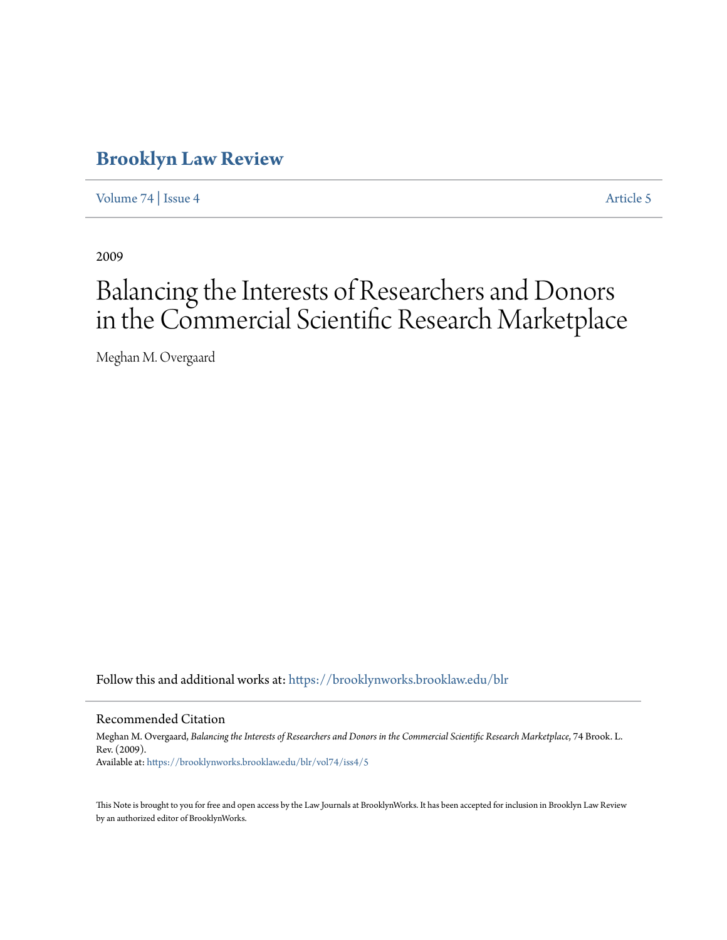## **[Brooklyn Law Review](https://brooklynworks.brooklaw.edu/blr?utm_source=brooklynworks.brooklaw.edu%2Fblr%2Fvol74%2Fiss4%2F5&utm_medium=PDF&utm_campaign=PDFCoverPages)**

[Volume 74](https://brooklynworks.brooklaw.edu/blr/vol74?utm_source=brooklynworks.brooklaw.edu%2Fblr%2Fvol74%2Fiss4%2F5&utm_medium=PDF&utm_campaign=PDFCoverPages) | [Issue 4](https://brooklynworks.brooklaw.edu/blr/vol74/iss4?utm_source=brooklynworks.brooklaw.edu%2Fblr%2Fvol74%2Fiss4%2F5&utm_medium=PDF&utm_campaign=PDFCoverPages) [Article 5](https://brooklynworks.brooklaw.edu/blr/vol74/iss4/5?utm_source=brooklynworks.brooklaw.edu%2Fblr%2Fvol74%2Fiss4%2F5&utm_medium=PDF&utm_campaign=PDFCoverPages)

2009

# Balancing the Interests of Researchers and Donors in the Commercial Scientific Research Marketplace

Meghan M. Overgaard

Follow this and additional works at: [https://brooklynworks.brooklaw.edu/blr](https://brooklynworks.brooklaw.edu/blr?utm_source=brooklynworks.brooklaw.edu%2Fblr%2Fvol74%2Fiss4%2F5&utm_medium=PDF&utm_campaign=PDFCoverPages)

Recommended Citation

Meghan M. Overgaard, *Balancing the Interests of Researchers and Donors in the Commercial Scientific Research Marketplace*, 74 Brook. L. Rev. (2009). Available at: [https://brooklynworks.brooklaw.edu/blr/vol74/iss4/5](https://brooklynworks.brooklaw.edu/blr/vol74/iss4/5?utm_source=brooklynworks.brooklaw.edu%2Fblr%2Fvol74%2Fiss4%2F5&utm_medium=PDF&utm_campaign=PDFCoverPages)

This Note is brought to you for free and open access by the Law Journals at BrooklynWorks. It has been accepted for inclusion in Brooklyn Law Review by an authorized editor of BrooklynWorks.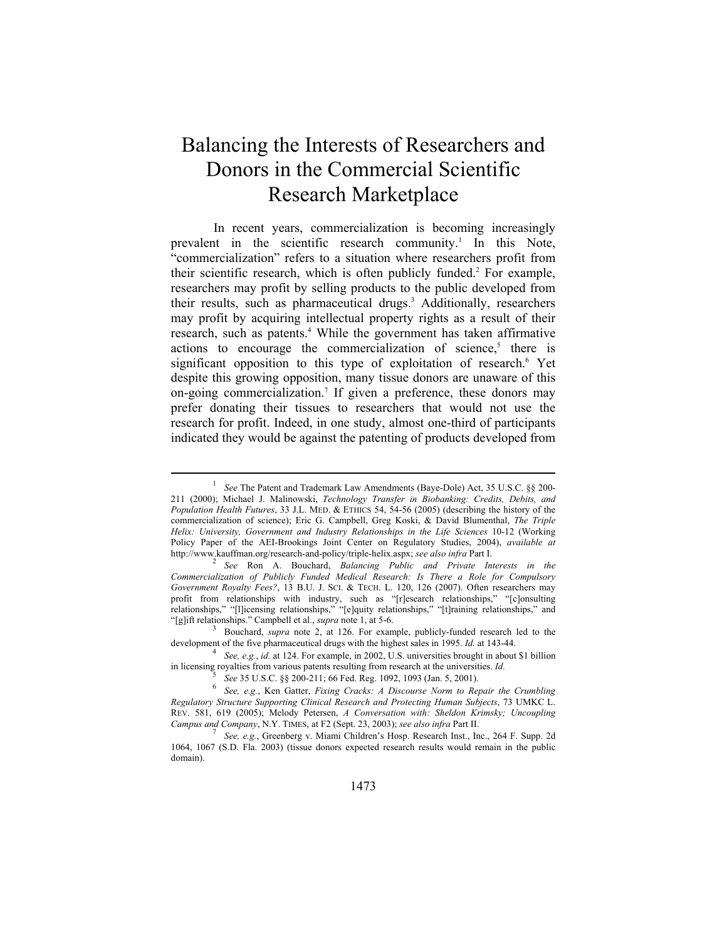## Balancing the Interests of Researchers and Donors in the Commercial Scientific Research Marketplace

In recent years, commercialization is becoming increasingly prevalent in the scientific research community.<sup>1</sup> In this Note, "commercialization" refers to a situation where researchers profit from their scientific research, which is often publicly funded.<sup>2</sup> For example, researchers may profit by selling products to the public developed from their results, such as pharmaceutical drugs.<sup>3</sup> Additionally, researchers may profit by acquiring intellectual property rights as a result of their research, such as patents.<sup>4</sup> While the government has taken affirmative actions to encourage the commercialization of science,<sup>5</sup> there is significant opposition to this type of exploitation of research.<sup>6</sup> Yet despite this growing opposition, many tissue donors are unaware of this on-going commercialization.7 If given a preference, these donors may prefer donating their tissues to researchers that would not use the research for profit. Indeed, in one study, almost one-third of participants indicated they would be against the patenting of products developed from

<sup>1</sup>  *See* The Patent and Trademark Law Amendments (Baye-Dole) Act, 35 U.S.C. §§ 200- 211 (2000); Michael J. Malinowski, *Technology Transfer in Biobanking: Credits, Debits, and Population Health Futures*, 33 J.L. MED. & ETHICS 54, 54-56 (2005) (describing the history of the commercialization of science); Eric G. Campbell, Greg Koski, & David Blumenthal, *The Triple Helix: University, Government and Industry Relationships in the Life Sciences* 10-12 (Working Policy Paper of the AEI-Brookings Joint Center on Regulatory Studies, 2004), *available at* http://www.kauffman.org/research-and-policy/triple-helix.aspx; *see also infra* Part I. 2

*See* Ron A. Bouchard, *Balancing Public and Private Interests in the Commercialization of Publicly Funded Medical Research: Is There a Role for Compulsory Government Royalty Fees?*, 13 B.U. J. SCI. & TECH. L. 120, 126 (2007). Often researchers may profit from relationships with industry, such as "[r]esearch relationships," "[c]onsulting relationships," "[l]icensing relationships," "[e]quity relationships," "[t]raining relationships," and "[g]ift relationships." Campbell et al., *supra* note 1, at 5-6.

<sup>&</sup>lt;sup>3</sup> Bouchard, *supra* note 2, at 126. For example, publicly-funded research led to the development of the five pharmaceutical drugs with the highest sales in 1995. *Id.* at 143-44.

<sup>&</sup>lt;sup>4</sup> See, e.g., *id.* at 124. For example, in 2002, U.S. universities brought in about \$1 billion in licensing royalties from various patents resulting from research at the universities. *Id.* 5 *See* 35 U.S.C. §§ 200-211; 66 Fed. Reg. 1092, 1093 (Jan. 5, 2001).

<sup>&</sup>lt;sup>3</sup> See 35 U.S.C. §§ 200-211; 66 Fed. Reg. 1092, 1093 (Jan. 5, 2001).<br><sup>6</sup> See, e.g., Ken Gatter, *Fixing Cracks: A Discourse Norm to Repair the Crumbling Regulatory Structure Supporting Clinical Research and Protecting Human Subjects*, 73 UMKC L. REV. 581, 619 (2005); Melody Petersen, *A Conversation with: Sheldon Krimsky; Uncoupling Campus and Company*, N.Y. TIMES, at F2 (Sept. 23, 2003); *see also infra* Part II. 7

*See, e.g.*, Greenberg v. Miami Children's Hosp. Research Inst., Inc., 264 F. Supp. 2d 1064, 1067 (S.D. Fla. 2003) (tissue donors expected research results would remain in the public domain).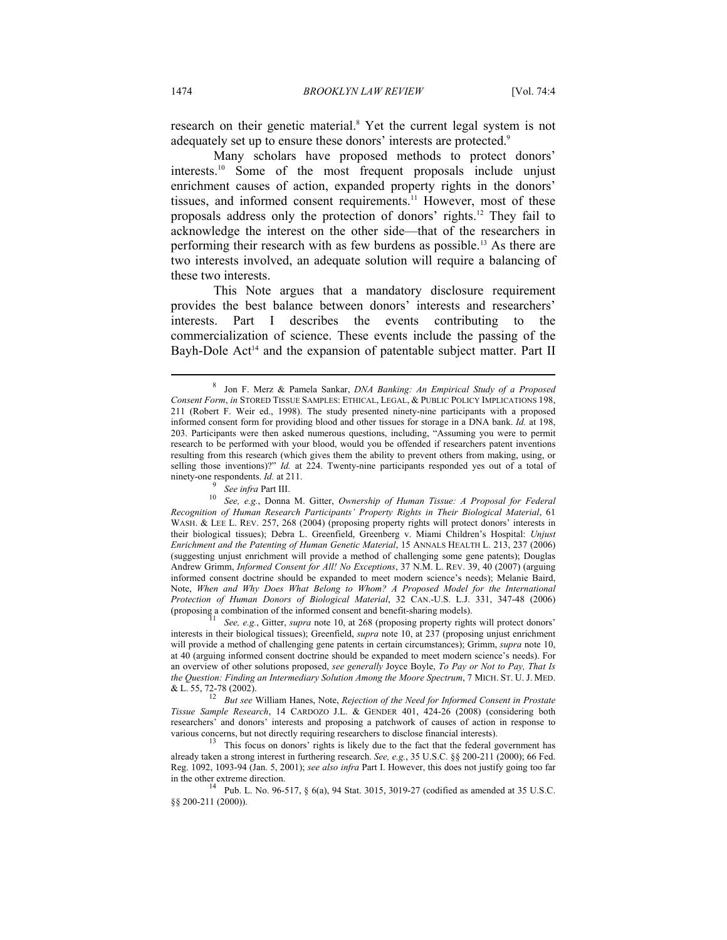research on their genetic material.<sup>8</sup> Yet the current legal system is not adequately set up to ensure these donors' interests are protected.<sup>9</sup>

Many scholars have proposed methods to protect donors' interests.10 Some of the most frequent proposals include unjust enrichment causes of action, expanded property rights in the donors' tissues, and informed consent requirements.<sup>11</sup> However, most of these proposals address only the protection of donors' rights.12 They fail to acknowledge the interest on the other side—that of the researchers in performing their research with as few burdens as possible.13 As there are two interests involved, an adequate solution will require a balancing of these two interests.

This Note argues that a mandatory disclosure requirement provides the best balance between donors' interests and researchers' interests. Part I describes the events contributing to the commercialization of science. These events include the passing of the Bayh-Dole  $Act^{14}$  and the expansion of patentable subject matter. Part II

(proposing a combination of the informed consent and benefit-sharing models). 11 *See, e.g.*, Gitter, *supra* note 10, at 268 (proposing property rights will protect donors' interests in their biological tissues); Greenfield, *supra* note 10, at 237 (proposing unjust enrichment will provide a method of challenging gene patents in certain circumstances); Grimm, *supra* note 10, at 40 (arguing informed consent doctrine should be expanded to meet modern science's needs). For an overview of other solutions proposed, *see generally* Joyce Boyle, *To Pay or Not to Pay, That Is the Question: Finding an Intermediary Solution Among the Moore Spectrum*, 7 MICH. ST. U. J. MED.

& L. 55, 72-78 (2002). 12 *But see* William Hanes, Note, *Rejection of the Need for Informed Consent in Prostate Tissue Sample Research*, 14 CARDOZO J.L. & GENDER 401, 424-26 (2008) (considering both researchers' and donors' interests and proposing a patchwork of causes of action in response to various concerns, but not directly requiring researchers to disclose financial interests).

 $\frac{13}{13}$  This focus on donors' rights is likely due to the fact that the federal government has already taken a strong interest in furthering research. *See, e.g.*, 35 U.S.C. §§ 200-211 (2000); 66 Fed. Reg. 1092, 1093-94 (Jan. 5, 2001); *see also infra* Part I. However, this does not justify going too far

in the other extreme direction.<br><sup>14</sup> Pub. L. No. 96-517, § 6(a), 94 Stat. 3015, 3019-27 (codified as amended at 35 U.S.C. §§ 200-211 (2000)).

<sup>8</sup> Jon F. Merz & Pamela Sankar, *DNA Banking: An Empirical Study of a Proposed Consent Form*, *in* STORED TISSUE SAMPLES: ETHICAL, LEGAL, & PUBLIC POLICY IMPLICATIONS 198, 211 (Robert F. Weir ed., 1998). The study presented ninety-nine participants with a proposed informed consent form for providing blood and other tissues for storage in a DNA bank. *Id.* at 198, 203. Participants were then asked numerous questions, including, "Assuming you were to permit research to be performed with your blood, would you be offended if researchers patent inventions resulting from this research (which gives them the ability to prevent others from making, using, or selling those inventions)?" *Id.* at 224. Twenty-nine participants responded yes out of a total of ninety-one respondents. *Id.* at 211.

<sup>&</sup>lt;sup>9</sup> See infra Part III.<br><sup>10</sup> See, e.g., Donna M. Gitter, *Ownership of Human Tissue: A Proposal for Federal Recognition of Human Research Participants' Property Rights in Their Biological Material*, 61 WASH. & LEE L. REV. 257, 268 (2004) (proposing property rights will protect donors' interests in their biological tissues); Debra L. Greenfield, Greenberg v. Miami Children's Hospital: *Unjust Enrichment and the Patenting of Human Genetic Material*, 15 ANNALS HEALTH L. 213, 237 (2006) (suggesting unjust enrichment will provide a method of challenging some gene patents); Douglas Andrew Grimm, *Informed Consent for All! No Exceptions*, 37 N.M. L. REV. 39, 40 (2007) (arguing informed consent doctrine should be expanded to meet modern science's needs); Melanie Baird, Note, *When and Why Does What Belong to Whom? A Proposed Model for the International Protection of Human Donors of Biological Material*, 32 CAN.-U.S. L.J. 331, 347-48 (2006)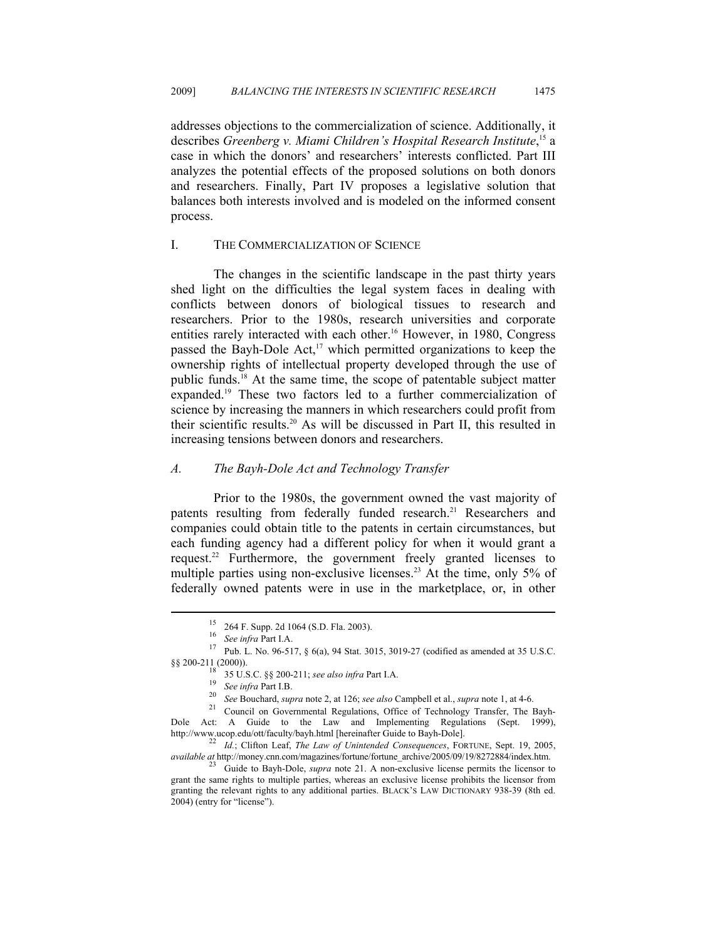addresses objections to the commercialization of science. Additionally, it describes *Greenberg v. Miami Children's Hospital Research Institute*, 15 a case in which the donors' and researchers' interests conflicted. Part III analyzes the potential effects of the proposed solutions on both donors and researchers. Finally, Part IV proposes a legislative solution that balances both interests involved and is modeled on the informed consent process.

#### I. THE COMMERCIALIZATION OF SCIENCE

The changes in the scientific landscape in the past thirty years shed light on the difficulties the legal system faces in dealing with conflicts between donors of biological tissues to research and researchers. Prior to the 1980s, research universities and corporate entities rarely interacted with each other.<sup>16</sup> However, in 1980, Congress passed the Bayh-Dole Act,<sup>17</sup> which permitted organizations to keep the ownership rights of intellectual property developed through the use of public funds.18 At the same time, the scope of patentable subject matter expanded.19 These two factors led to a further commercialization of science by increasing the manners in which researchers could profit from their scientific results.20 As will be discussed in Part II, this resulted in increasing tensions between donors and researchers.

#### *A. The Bayh-Dole Act and Technology Transfer*

Prior to the 1980s, the government owned the vast majority of patents resulting from federally funded research.<sup>21</sup> Researchers and companies could obtain title to the patents in certain circumstances, but each funding agency had a different policy for when it would grant a request.22 Furthermore, the government freely granted licenses to multiple parties using non-exclusive licenses.<sup>23</sup> At the time, only 5% of federally owned patents were in use in the marketplace, or, in other

<sup>&</sup>lt;sup>15</sup> 264 F. Supp. 2d 1064 (S.D. Fla. 2003).<br><sup>16</sup> *See infra* Part I.A.

<sup>&</sup>lt;sup>17</sup> Pub. L. No. 96-517, § 6(a), 94 Stat. 3015, 3019-27 (codified as amended at 35 U.S.C. §§ 200-211 (2000)).<br><sup>18</sup> 35 U.S.C. §§ 200-211; *see also infra* Part I.A.

<sup>&</sup>lt;sup>19</sup> See infra Part I.B.<br><sup>20</sup> See Bouchard, *supra* note 2, at 126; *see also* Campbell et al., *supra* note 1, at 4-6.<br><sup>21</sup> Council on Governmental Regulations, Office of Technology Transfer, The Bayh-Dole Act: A Guide to the Law and Implementing Regulations (Sept. 1999), http://www.ucop.edu/ott/faculty/bayh.html [hereinafter Guide to Bayh-Dole].

<sup>&</sup>lt;sup>22</sup> Id.; Clifton Leaf, *The Law of Unintended Consequences*, FORTUNE, Sept. 19, 2005, *available at* http://money.cnn.com/magazines/fortune/fortune\_archive/2005/09/19/8272884/index.htm. 23 Guide to Bayh-Dole, *supra* note 21. A non-exclusive license permits the licensor to

grant the same rights to multiple parties, whereas an exclusive license prohibits the licensor from granting the relevant rights to any additional parties. BLACK'S LAW DICTIONARY 938-39 (8th ed. 2004) (entry for "license").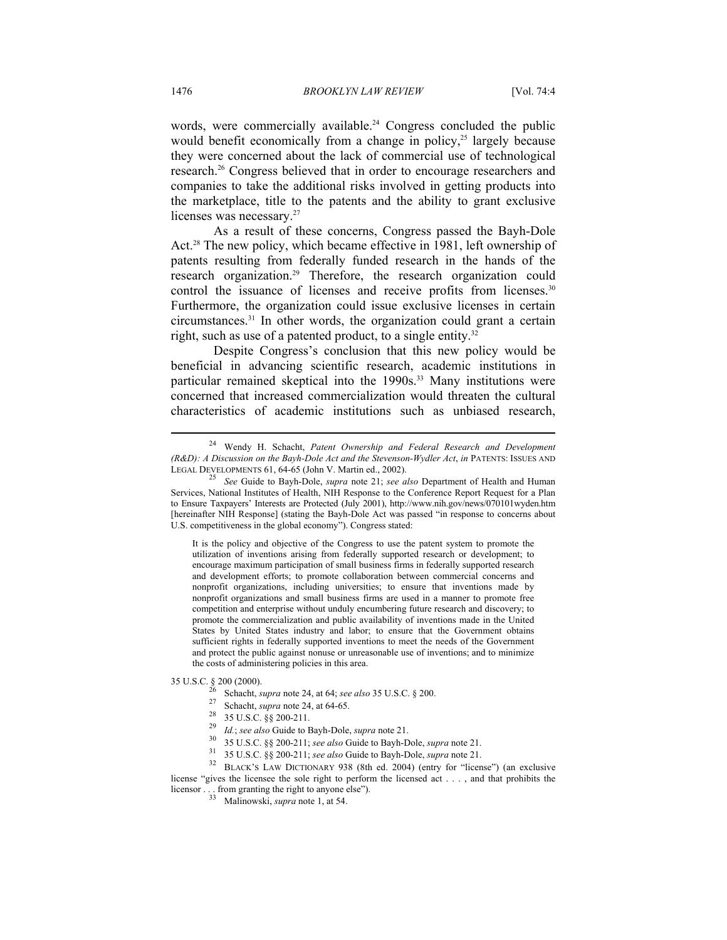words, were commercially available.<sup>24</sup> Congress concluded the public would benefit economically from a change in policy,<sup>25</sup> largely because they were concerned about the lack of commercial use of technological research.26 Congress believed that in order to encourage researchers and companies to take the additional risks involved in getting products into the marketplace, title to the patents and the ability to grant exclusive licenses was necessary.<sup>27</sup>

As a result of these concerns, Congress passed the Bayh-Dole Act.<sup>28</sup> The new policy, which became effective in 1981, left ownership of patents resulting from federally funded research in the hands of the research organization.<sup>29</sup> Therefore, the research organization could control the issuance of licenses and receive profits from licenses.<sup>30</sup> Furthermore, the organization could issue exclusive licenses in certain circumstances.31 In other words, the organization could grant a certain right, such as use of a patented product, to a single entity.<sup>32</sup>

Despite Congress's conclusion that this new policy would be beneficial in advancing scientific research, academic institutions in particular remained skeptical into the 1990s.<sup>33</sup> Many institutions were concerned that increased commercialization would threaten the cultural characteristics of academic institutions such as unbiased research,

It is the policy and objective of the Congress to use the patent system to promote the utilization of inventions arising from federally supported research or development; to encourage maximum participation of small business firms in federally supported research and development efforts; to promote collaboration between commercial concerns and nonprofit organizations, including universities; to ensure that inventions made by nonprofit organizations and small business firms are used in a manner to promote free competition and enterprise without unduly encumbering future research and discovery; to promote the commercialization and public availability of inventions made in the United States by United States industry and labor; to ensure that the Government obtains sufficient rights in federally supported inventions to meet the needs of the Government and protect the public against nonuse or unreasonable use of inventions; and to minimize the costs of administering policies in this area.

 $\overline{a}$ 

- 35 U.S.C. § 200 (2000). 26 Schacht, *supra* note 24, at 64; *see also* 35 U.S.C. § 200. 27 Schacht, *supra* note 24, at 64-65. 28 35 U.S.C. §§ 200-211.
	-
	-
	-
	-
	-

<sup>30</sup> 35 U.S.C. §§ 200-211; see also Guide to Bayh-Dole, supra note 21.<br><sup>31</sup> 35 U.S.C. §§ 200-211; see also Guide to Bayh-Dole, supra note 21.<br><sup>32</sup> BLACK'S LAW DICTIONARY 938 (8th ed. 2004) (entry for "license") (an exclus license "gives the licensee the sole right to perform the licensed act . . . , and that prohibits the licensor . . . from granting the right to anyone else").<br><sup>33</sup> Malinowski, *supra* note 1, at 54.

<sup>24</sup> Wendy H. Schacht, *Patent Ownership and Federal Research and Development (R&D): A Discussion on the Bayh-Dole Act and the Stevenson-Wydler Act*, *in* PATENTS: ISSUES AND LEGAL DEVELOPMENTS 61, 64-65 (John V. Martin ed., 2002). 25 *See* Guide to Bayh-Dole, *supra* note 21; *see also* Department of Health and Human

Services, National Institutes of Health, NIH Response to the Conference Report Request for a Plan to Ensure Taxpayers' Interests are Protected (July 2001), http://www.nih.gov/news/070101wyden.htm [hereinafter NIH Response] (stating the Bayh-Dole Act was passed "in response to concerns about U.S. competitiveness in the global economy"). Congress stated: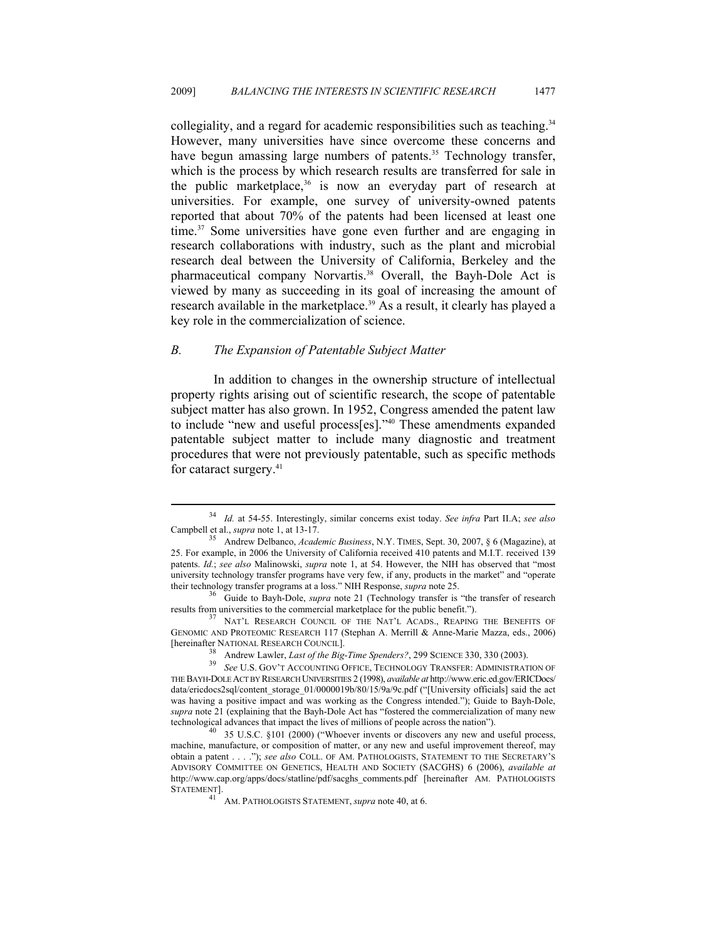collegiality, and a regard for academic responsibilities such as teaching.<sup>34</sup> However, many universities have since overcome these concerns and have begun amassing large numbers of patents.<sup>35</sup> Technology transfer, which is the process by which research results are transferred for sale in the public marketplace,  $36$  is now an everyday part of research at universities. For example, one survey of university-owned patents reported that about 70% of the patents had been licensed at least one time.37 Some universities have gone even further and are engaging in research collaborations with industry, such as the plant and microbial research deal between the University of California, Berkeley and the pharmaceutical company Norvartis.<sup>38</sup> Overall, the Bayh-Dole Act is viewed by many as succeeding in its goal of increasing the amount of research available in the marketplace.<sup>39</sup> As a result, it clearly has played a key role in the commercialization of science.

#### *B. The Expansion of Patentable Subject Matter*

 $\overline{a}$ 

In addition to changes in the ownership structure of intellectual property rights arising out of scientific research, the scope of patentable subject matter has also grown. In 1952, Congress amended the patent law to include "new and useful process[es]."40 These amendments expanded patentable subject matter to include many diagnostic and treatment procedures that were not previously patentable, such as specific methods for cataract surgery.<sup>41</sup>

<sup>34</sup> *Id.* at 54-55. Interestingly, similar concerns exist today. *See infra* Part II.A; *see also* Campbell et al., *supra* note 1, at 13-17. 35 Andrew Delbanco, *Academic Business*, N.Y. TIMES, Sept. 30, 2007, § 6 (Magazine), at

<sup>25.</sup> For example, in 2006 the University of California received 410 patents and M.I.T. received 139 patents. *Id.*; *see also* Malinowski, *supra* note 1, at 54. However, the NIH has observed that "most university technology transfer programs have very few, if any, products in the market" and "operate their technology transfer programs at a loss." NIH Response, *supra* note 25.

<sup>&</sup>lt;sup>36</sup> Guide to Bayh-Dole, *supra* note 21 (Technology transfer is "the transfer of research results from universities to the commercial marketplace for the public benefit."). 37 NAT'L RESEARCH COUNCIL OF THE NAT'L ACADS., REAPING THE BENEFITS OF

GENOMIC AND PROTEOMIC RESEARCH 117 (Stephan A. Merrill & Anne-Marie Mazza, eds., 2006)

<sup>&</sup>lt;sup>38</sup> Andrew Lawler, *Last of the Big-Time Spenders?*, 299 SCIENCE 330, 330 (2003). *See U.S. GOV'T ACCOUNTING OFFICE*, TECHNOLOGY TRANSFER: ADMINISTRATION OF THE BAYH-DOLE ACT BY RESEARCH UNIVERSITIES 2 (1998), *available at* http://www.eric.ed.gov/ERICDocs/ data/ericdocs2sql/content\_storage\_01/0000019b/80/15/9a/9c.pdf ("[University officials] said the act was having a positive impact and was working as the Congress intended."); Guide to Bayh-Dole, *supra* note 21 (explaining that the Bayh-Dole Act has "fostered the commercialization of many new technological advances that impact the lives of millions of people across the nation"). 40 35 U.S.C. §101 (2000) ("Whoever invents or discovers any new and useful process,

machine, manufacture, or composition of matter, or any new and useful improvement thereof, may obtain a patent . . . ."); *see also* COLL. OF AM. PATHOLOGISTS, STATEMENT TO THE SECRETARY'S ADVISORY COMMITTEE ON GENETICS, HEALTH AND SOCIETY (SACGHS) 6 (2006), *available at* http://www.cap.org/apps/docs/statline/pdf/sacghs\_comments.pdf [hereinafter AM. PATHOLOGISTS STATEMENT].

AM. PATHOLOGISTS STATEMENT, *supra* note 40, at 6.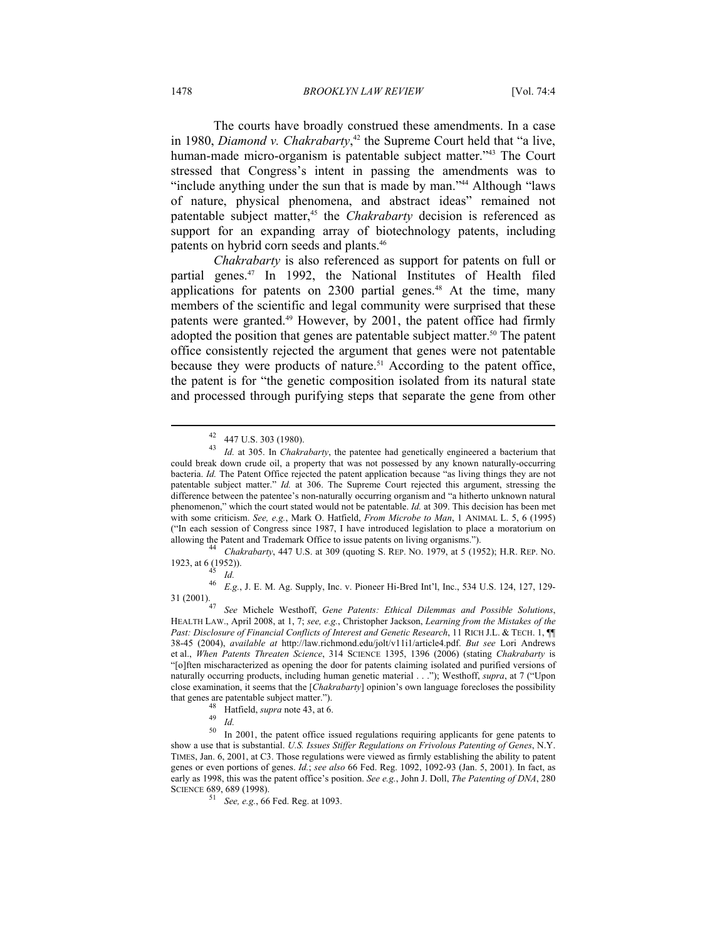The courts have broadly construed these amendments. In a case in 1980, *Diamond v. Chakrabarty*, 42 the Supreme Court held that "a live, human-made micro-organism is patentable subject matter."<sup>43</sup> The Court stressed that Congress's intent in passing the amendments was to "include anything under the sun that is made by man."44 Although "laws of nature, physical phenomena, and abstract ideas" remained not patentable subject matter,<sup>45</sup> the *Chakrabarty* decision is referenced as support for an expanding array of biotechnology patents, including patents on hybrid corn seeds and plants.<sup>46</sup>

*Chakrabarty* is also referenced as support for patents on full or partial genes.<sup>47</sup> In 1992, the National Institutes of Health filed applications for patents on  $2300$  partial genes.<sup>48</sup> At the time, many members of the scientific and legal community were surprised that these patents were granted.<sup>49</sup> However, by 2001, the patent office had firmly adopted the position that genes are patentable subject matter.<sup>50</sup> The patent office consistently rejected the argument that genes were not patentable because they were products of nature.<sup>51</sup> According to the patent office, the patent is for "the genetic composition isolated from its natural state and processed through purifying steps that separate the gene from other

1923, at 6 (1952)). 45 *Id.*

 $\overline{a}$ 

46 E.g., J. E. M. Ag. Supply, Inc. v. Pioneer Hi-Bred Int'l, Inc., 534 U.S. 124, 127, 129-<br>31 (2001).

<sup>42 447</sup> U.S. 303 (1980).

<sup>43</sup> *Id.* at 305. In *Chakrabarty*, the patentee had genetically engineered a bacterium that could break down crude oil, a property that was not possessed by any known naturally-occurring bacteria. *Id.* The Patent Office rejected the patent application because "as living things they are not patentable subject matter." *Id.* at 306. The Supreme Court rejected this argument, stressing the difference between the patentee's non-naturally occurring organism and "a hitherto unknown natural phenomenon," which the court stated would not be patentable. *Id.* at 309. This decision has been met with some criticism. *See, e.g.*, Mark O. Hatfield, *From Microbe to Man*, 1 ANIMAL L. 5, 6 (1995) ("In each session of Congress since 1987, I have introduced legislation to place a moratorium on allowing the Patent and Trademark Office to issue patents on living organisms."). 44 *Chakrabarty*, 447 U.S. at 309 (quoting S. REP. NO. 1979, at 5 (1952); H.R. REP. NO.

<sup>31 (2001). 47</sup> *See* Michele Westhoff, *Gene Patents: Ethical Dilemmas and Possible Solutions*, HEALTH LAW., April 2008, at 1, 7; *see, e.g.*, Christopher Jackson, *Learning from the Mistakes of the Past: Disclosure of Financial Conflicts of Interest and Genetic Research*, 11 RICH J.L. & TECH. 1, ¶¶ 38-45 (2004), *available at* http://law.richmond.edu/jolt/v11i1/article4.pdf. *But see* Lori Andrews et al., *When Patents Threaten Science*, 314 SCIENCE 1395, 1396 (2006) (stating *Chakrabarty* is "[o]ften mischaracterized as opening the door for patents claiming isolated and purified versions of naturally occurring products, including human genetic material . . ."); Westhoff, *supra*, at 7 ("Upon close examination, it seems that the [*Chakrabarty*] opinion's own language forecloses the possibility that genes are patentable subject matter.").<br>
<sup>48</sup> Hatfield, *supra* note 43, at 6.<br>
<sup>49</sup> *Id.*<br>
<sup>50</sup> In 2001, the notant office is

<sup>50</sup> In 2001, the patent office issued regulations requiring applicants for gene patents to show a use that is substantial. *U.S. Issues Stiffer Regulations on Frivolous Patenting of Genes*, N.Y. TIMES, Jan. 6, 2001, at C3. Those regulations were viewed as firmly establishing the ability to patent genes or even portions of genes. *Id.*; *see also* 66 Fed. Reg. 1092, 1092-93 (Jan. 5, 2001). In fact, as early as 1998, this was the patent office's position. *See e.g.*, John J. Doll, *The Patenting of DNA*, 280 SCIENCE 689, 689 (1998).

<sup>51</sup> *See, e.g.*, 66 Fed. Reg. at 1093.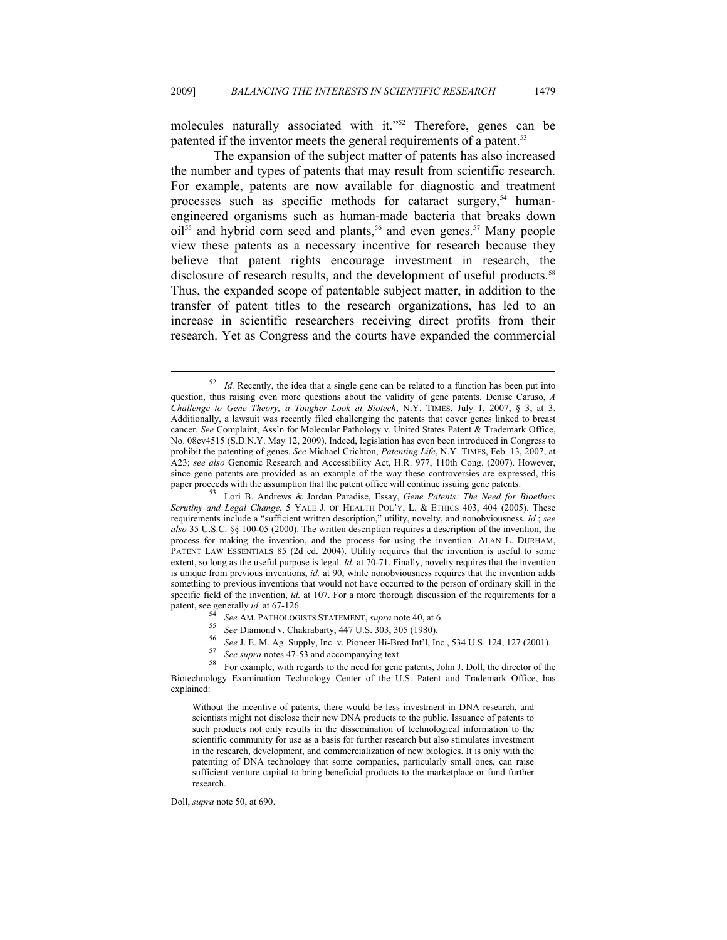molecules naturally associated with it."<sup>52</sup> Therefore, genes can be patented if the inventor meets the general requirements of a patent.<sup>53</sup>

The expansion of the subject matter of patents has also increased the number and types of patents that may result from scientific research. For example, patents are now available for diagnostic and treatment processes such as specific methods for cataract surgery, $54$  humanengineered organisms such as human-made bacteria that breaks down  $oil<sup>55</sup>$  and hybrid corn seed and plants,<sup>56</sup> and even genes.<sup>57</sup> Many people view these patents as a necessary incentive for research because they believe that patent rights encourage investment in research, the disclosure of research results, and the development of useful products.<sup>58</sup> Thus, the expanded scope of patentable subject matter, in addition to the transfer of patent titles to the research organizations, has led to an increase in scientific researchers receiving direct profits from their research. Yet as Congress and the courts have expanded the commercial

- 
- 
- 
- 

Without the incentive of patents, there would be less investment in DNA research, and scientists might not disclose their new DNA products to the public. Issuance of patents to such products not only results in the dissemination of technological information to the scientific community for use as a basis for further research but also stimulates investment in the research, development, and commercialization of new biologics. It is only with the patenting of DNA technology that some companies, particularly small ones, can raise sufficient venture capital to bring beneficial products to the marketplace or fund further research.

Doll, *supra* note 50, at 690.

<sup>&</sup>lt;sup>52</sup> *Id.* Recently, the idea that a single gene can be related to a function has been put into question, thus raising even more questions about the validity of gene patents. Denise Caruso, *A Challenge to Gene Theory, a Tougher Look at Biotech*, N.Y. TIMES, July 1, 2007, § 3, at 3. Additionally, a lawsuit was recently filed challenging the patents that cover genes linked to breast cancer. *See* Complaint, Ass'n for Molecular Pathology v. United States Patent & Trademark Office, No. 08cv4515 (S.D.N.Y. May 12, 2009). Indeed, legislation has even been introduced in Congress to prohibit the patenting of genes. *See* Michael Crichton, *Patenting Life*, N.Y. TIMES, Feb. 13, 2007, at A23; *see also* Genomic Research and Accessibility Act, H.R. 977, 110th Cong. (2007). However, since gene patents are provided as an example of the way these controversies are expressed, this paper proceeds with the assumption that the patent office will continue issuing gene patents.

Lori B. Andrews & Jordan Paradise, Essay, *Gene Patents: The Need for Bioethics Scrutiny and Legal Change*, 5 YALE J. OF HEALTH POL'Y, L. & ETHICS 403, 404 (2005). These requirements include a "sufficient written description," utility, novelty, and nonobviousness. *Id.*; *see also* 35 U.S.C. §§ 100-05 (2000). The written description requires a description of the invention, the process for making the invention, and the process for using the invention. ALAN L. DURHAM, PATENT LAW ESSENTIALS 85 (2d ed. 2004). Utility requires that the invention is useful to some extent, so long as the useful purpose is legal. *Id.* at 70-71. Finally, novelty requires that the invention is unique from previous inventions, *id.* at 90, while nonobviousness requires that the invention adds something to previous inventions that would not have occurred to the person of ordinary skill in the specific field of the invention, *id.* at 107. For a more thorough discussion of the requirements for a patent, see generally *id.* at 67-126.<br>
<sup>54</sup> See AM. PATHOLOGISTS STATEMENT, *supra* note 40, at 6.<br>
<sup>55</sup> See Diamond v. Chakrabarty, 447 U.S. 303, 305 (1980).<br>
<sup>56</sup> See J. E. M. Ag. Supply, Inc. v. Pioneer Hi-Bred Int'l,

Biotechnology Examination Technology Center of the U.S. Patent and Trademark Office, has explained: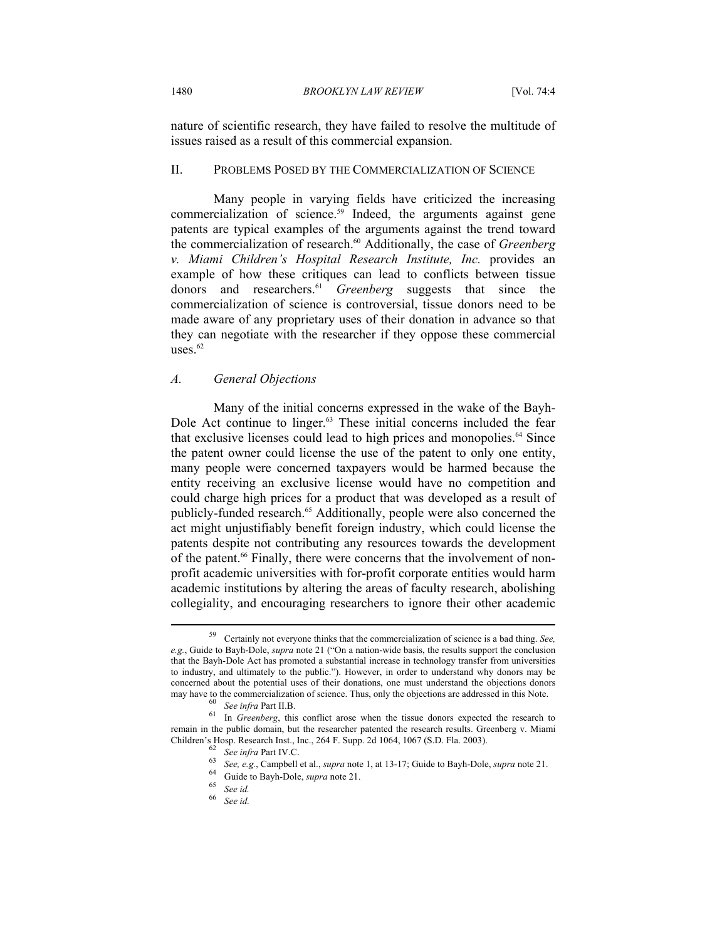nature of scientific research, they have failed to resolve the multitude of issues raised as a result of this commercial expansion.

#### II. PROBLEMS POSED BY THE COMMERCIALIZATION OF SCIENCE

Many people in varying fields have criticized the increasing commercialization of science.<sup>59</sup> Indeed, the arguments against gene patents are typical examples of the arguments against the trend toward the commercialization of research.<sup>60</sup> Additionally, the case of *Greenberg v. Miami Children's Hospital Research Institute, Inc.* provides an example of how these critiques can lead to conflicts between tissue donors and researchers.61 *Greenberg* suggests that since the commercialization of science is controversial, tissue donors need to be made aware of any proprietary uses of their donation in advance so that they can negotiate with the researcher if they oppose these commercial uses. $62$ 

#### *A. General Objections*

Many of the initial concerns expressed in the wake of the Bayh-Dole Act continue to linger.<sup>63</sup> These initial concerns included the fear that exclusive licenses could lead to high prices and monopolies.<sup>64</sup> Since the patent owner could license the use of the patent to only one entity, many people were concerned taxpayers would be harmed because the entity receiving an exclusive license would have no competition and could charge high prices for a product that was developed as a result of publicly-funded research.<sup>65</sup> Additionally, people were also concerned the act might unjustifiably benefit foreign industry, which could license the patents despite not contributing any resources towards the development of the patent.<sup>66</sup> Finally, there were concerns that the involvement of nonprofit academic universities with for-profit corporate entities would harm academic institutions by altering the areas of faculty research, abolishing collegiality, and encouraging researchers to ignore their other academic

 $\overline{a}$ 

See id.

<sup>59</sup> Certainly not everyone thinks that the commercialization of science is a bad thing. *See, e.g.*, Guide to Bayh-Dole, *supra* note 21 ("On a nation-wide basis, the results support the conclusion that the Bayh-Dole Act has promoted a substantial increase in technology transfer from universities to industry, and ultimately to the public."). However, in order to understand why donors may be concerned about the potential uses of their donations, one must understand the objections donors may have to the commercialization of science. Thus, only the objections are addressed in this Note.<br><sup>60</sup> *See infra* Part II.B.<br><sup>61</sup> In *Greenberg*, this conflict arose when the tissue donors expected the research to

remain in the public domain, but the researcher patented the research results. Greenberg v. Miami Children's Hosp. Research Inst., Inc., 264 F. Supp. 2d 1064, 1067 (S.D. Fla. 2003).<br>
<sup>62</sup> See infra Part IV.C.<br>
<sup>63</sup> See, e.g., Campbell et al., *supra* note 1, at 13-17; Guide to Bayh-Dole, *supra* note 21.<br>
<sup>64</sup> Guide t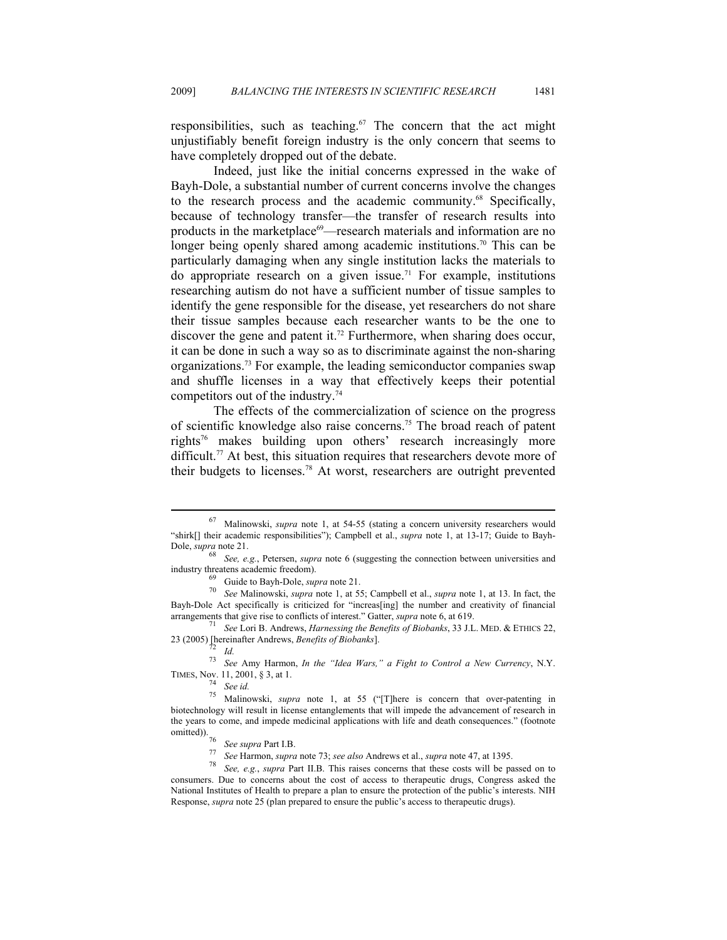responsibilities, such as teaching.<sup> $67$ </sup> The concern that the act might unjustifiably benefit foreign industry is the only concern that seems to have completely dropped out of the debate.

Indeed, just like the initial concerns expressed in the wake of Bayh-Dole, a substantial number of current concerns involve the changes to the research process and the academic community.68 Specifically, because of technology transfer—the transfer of research results into products in the marketplace<sup>69</sup>—research materials and information are no longer being openly shared among academic institutions.<sup>70</sup> This can be particularly damaging when any single institution lacks the materials to do appropriate research on a given issue.<sup>71</sup> For example, institutions researching autism do not have a sufficient number of tissue samples to identify the gene responsible for the disease, yet researchers do not share their tissue samples because each researcher wants to be the one to discover the gene and patent it.<sup>72</sup> Furthermore, when sharing does occur, it can be done in such a way so as to discriminate against the non-sharing organizations.73 For example, the leading semiconductor companies swap and shuffle licenses in a way that effectively keeps their potential competitors out of the industry.<sup>74</sup>

The effects of the commercialization of science on the progress of scientific knowledge also raise concerns.75 The broad reach of patent rights76 makes building upon others' research increasingly more difficult.<sup>77</sup> At best, this situation requires that researchers devote more of their budgets to licenses.78 At worst, researchers are outright prevented

 $\overline{a}$ 

<sup>73</sup> *See* Amy Harmon, *In the "Idea Wars," a Fight to Control a New Currency*, N.Y. TIMES, Nov. 11, 2001, § 3, at 1. 74 *See id.*

<sup>76</sup> See supra Part I.B.<br><sup>77</sup> See Harmon, supra note 73; see also Andrews et al., supra note 47, at 1395.<br><sup>78</sup> See, e.g., supra Part II.B. This raises concerns that these costs will be passed on to consumers. Due to concerns about the cost of access to therapeutic drugs, Congress asked the National Institutes of Health to prepare a plan to ensure the protection of the public's interests. NIH Response, *supra* note 25 (plan prepared to ensure the public's access to therapeutic drugs).

<sup>67</sup> Malinowski, *supra* note 1, at 54-55 (stating a concern university researchers would "shirk[] their academic responsibilities"); Campbell et al., *supra* note 1, at 13-17; Guide to Bayh-Dole, *supra* note 21.

<sup>68</sup> *See, e.g.*, Petersen, *supra* note 6 (suggesting the connection between universities and

industry threatens academic freedom). 69 Guide to Bayh-Dole, *supra* note 21. 70 *See* Malinowski, *supra* note 1, at 55; Campbell et al., *supra* note 1, at 13. In fact, the Bayh-Dole Act specifically is criticized for "increas[ing] the number and creativity of financial arrangements that give rise to conflicts of interest." Gatter, *supra* note 6, at 619.<br><sup>71</sup> See Lori B. Andrews, *Harnessing the Benefits of Biobanks*, 33 J.L. MED. & ETHICS 22,

<sup>23 (2005) [</sup>hereinafter Andrews, *Benefits of Biobanks*]. 72 *Id.*

<sup>75</sup> Malinowski, *supra* note 1, at 55 ("[T]here is concern that over-patenting in biotechnology will result in license entanglements that will impede the advancement of research in the years to come, and impede medicinal applications with life and death consequences." (footnote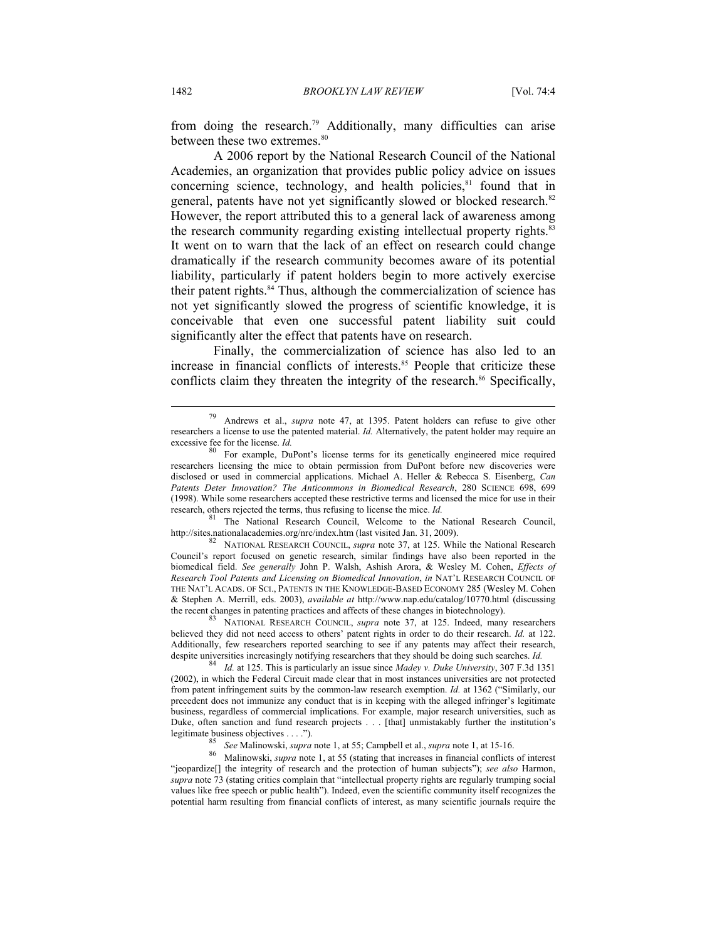from doing the research.79 Additionally, many difficulties can arise between these two extremes.<sup>80</sup>

A 2006 report by the National Research Council of the National Academies, an organization that provides public policy advice on issues concerning science, technology, and health policies, $81$  found that in general, patents have not yet significantly slowed or blocked research.<sup>82</sup> However, the report attributed this to a general lack of awareness among the research community regarding existing intellectual property rights.<sup>83</sup> It went on to warn that the lack of an effect on research could change dramatically if the research community becomes aware of its potential liability, particularly if patent holders begin to more actively exercise their patent rights. $84$  Thus, although the commercialization of science has not yet significantly slowed the progress of scientific knowledge, it is conceivable that even one successful patent liability suit could significantly alter the effect that patents have on research.

Finally, the commercialization of science has also led to an increase in financial conflicts of interests.<sup>85</sup> People that criticize these conflicts claim they threaten the integrity of the research.<sup>86</sup> Specifically,

research, others rejected the terms, thus refusing to license the mice. *Id.* <sup>81</sup> The National Research Council, Welcome to the National Research Council, http://sites.nationalacademies.org/nrc/index.htm (last visited Jan

82 NATIONAL RESEARCH COUNCIL, *supra* note 37, at 125. While the National Research Council's report focused on genetic research, similar findings have also been reported in the biomedical field. *See generally* John P. Walsh, Ashish Arora, & Wesley M. Cohen, *Effects of Research Tool Patents and Licensing on Biomedical Innovation*, *in* NAT'L RESEARCH COUNCIL OF THE NAT'L ACADS. OF SCI., PATENTS IN THE KNOWLEDGE-BASED ECONOMY 285 (Wesley M. Cohen & Stephen A. Merrill, eds. 2003), *available at* http://www.nap.edu/catalog/10770.html (discussing

the recent changes in patenting practices and affects of these changes in biotechnology). 83 NATIONAL RESEARCH COUNCIL, *supra* note 37, at 125. Indeed, many researchers believed they did not need access to others' patent rights in order to do their research. *Id.* at 122. Additionally, few researchers reported searching to see if any patents may affect their research, despite universities increasingly notifying researchers that they should be doing such searches. *Id.* <sup>84</sup> *Id.* at 125. This is particularly an issue since *Madey v. Duke University*, 307 F.3d 1351

(2002), in which the Federal Circuit made clear that in most instances universities are not protected from patent infringement suits by the common-law research exemption. *Id.* at 1362 ("Similarly, our precedent does not immunize any conduct that is in keeping with the alleged infringer's legitimate business, regardless of commercial implications. For example, major research universities, such as Duke, often sanction and fund research projects . . . [that] unmistakably further the institution's legitimate business objectives . . . .").

<sup>85</sup> See Malinowski, *supra* note 1, at 55; Campbell et al., *supra* note 1, at 15-16.<br><sup>86</sup> Malinowski, *supra* note 1, at 55 (stating that increases in financial conflicts of interest "jeopardize[] the integrity of research and the protection of human subjects"); *see also* Harmon, *supra* note 73 (stating critics complain that "intellectual property rights are regularly trumping social values like free speech or public health"). Indeed, even the scientific community itself recognizes the potential harm resulting from financial conflicts of interest, as many scientific journals require the

<sup>79</sup> Andrews et al., *supra* note 47, at 1395. Patent holders can refuse to give other researchers a license to use the patented material. *Id.* Alternatively, the patent holder may require an excessive fee for the license. *Id.* 80 For example, DuPont's license terms for its genetically engineered mice required

researchers licensing the mice to obtain permission from DuPont before new discoveries were disclosed or used in commercial applications. Michael A. Heller & Rebecca S. Eisenberg, *Can Patents Deter Innovation? The Anticommons in Biomedical Research*, 280 SCIENCE 698, 699 (1998). While some researchers accepted these restrictive terms and licensed the mice for use in their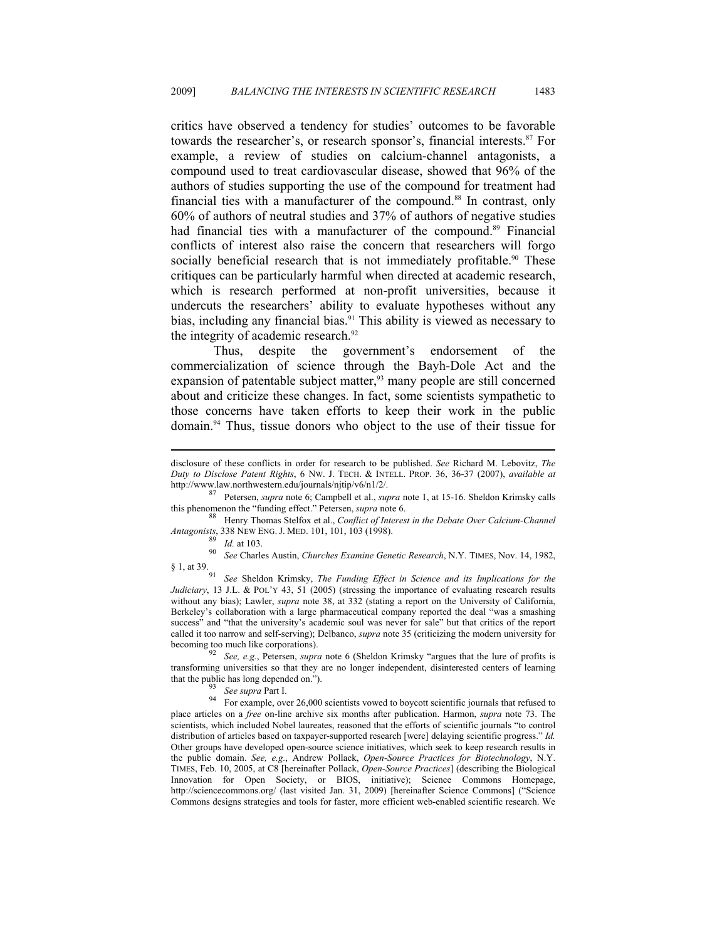critics have observed a tendency for studies' outcomes to be favorable towards the researcher's, or research sponsor's, financial interests.<sup>87</sup> For example, a review of studies on calcium-channel antagonists, a compound used to treat cardiovascular disease, showed that 96% of the authors of studies supporting the use of the compound for treatment had financial ties with a manufacturer of the compound.<sup>88</sup> In contrast, only 60% of authors of neutral studies and 37% of authors of negative studies had financial ties with a manufacturer of the compound.<sup>89</sup> Financial conflicts of interest also raise the concern that researchers will forgo socially beneficial research that is not immediately profitable.<sup>90</sup> These critiques can be particularly harmful when directed at academic research, which is research performed at non-profit universities, because it undercuts the researchers' ability to evaluate hypotheses without any bias, including any financial bias.<sup>91</sup> This ability is viewed as necessary to the integrity of academic research.<sup>92</sup>

Thus, despite the government's endorsement of the commercialization of science through the Bayh-Dole Act and the expansion of patentable subject matter,<sup>93</sup> many people are still concerned about and criticize these changes. In fact, some scientists sympathetic to those concerns have taken efforts to keep their work in the public domain.94 Thus, tissue donors who object to the use of their tissue for

 $88$  Henry Thomas Stelfox et al., *Conflict of Interest in the Debate Over Calcium-Channel* 

 $\overline{a}$ 

*Antagonists*, 338 NEW ENG. J. MED. 101, 101, 103 (1998).<br><sup>89</sup> *Id.* at 103.<br><sup>90</sup> *See* Charles Austin, *Churches Examine Genetic Research*, N.Y. TIMES, Nov. 14, 1982,<br><sup>8</sup> 1, at 39.

See Sheldon Krimsky, *The Funding Effect in Science and its Implications for the Judiciary*, 13 J.L. & POL'Y 43, 51 (2005) (stressing the importance of evaluating research results without any bias); Lawler, *supra* note 38, at 332 (stating a report on the University of California, Berkeley's collaboration with a large pharmaceutical company reported the deal "was a smashing success" and "that the university's academic soul was never for sale" but that critics of the report called it too narrow and self-serving); Delbanco, *supra* note 35 (criticizing the modern university for becoming too much like corporations). <sup>92</sup> *See, e.g.*, Petersen, *supra* note 6 (Sheldon Krimsky "argues that the lure of profits is

transforming universities so that they are no longer independent, disinterested centers of learning that the public has long depended on.").<br><sup>93</sup> *See supra* Part I.<br>For example, over 26,000 scientists vowed to boycott scientific journals that refused to

place articles on a *free* on-line archive six months after publication. Harmon, *supra* note 73. The scientists, which included Nobel laureates, reasoned that the efforts of scientific journals "to control distribution of articles based on taxpayer-supported research [were] delaying scientific progress." *Id.* Other groups have developed open-source science initiatives, which seek to keep research results in the public domain. *See, e.g.*, Andrew Pollack, *Open-Source Practices for Biotechnology*, N.Y. TIMES, Feb. 10, 2005, at C8 [hereinafter Pollack, *Open-Source Practices*] (describing the Biological Innovation for Open Society, or BIOS, initiative); Science Commons Homepage, http://sciencecommons.org/ (last visited Jan. 31, 2009) [hereinafter Science Commons] ("Science Commons designs strategies and tools for faster, more efficient web-enabled scientific research. We

disclosure of these conflicts in order for research to be published. *See* Richard M. Lebovitz, *The Duty to Disclose Patent Rights*, 6 NW. J. TECH. & INTELL. PROP. 36, 36-37 (2007), *available at*

http://www.law.northwestern.edu/journals/njtip/v6/n1/2/.<br><sup>87</sup> Petersen, *supra* note 6; Campbell et al., *supra* note 1, at 15-16. Sheldon Krimsky calls this phenomenon the "funding effect." Petersen, *supra* note 6.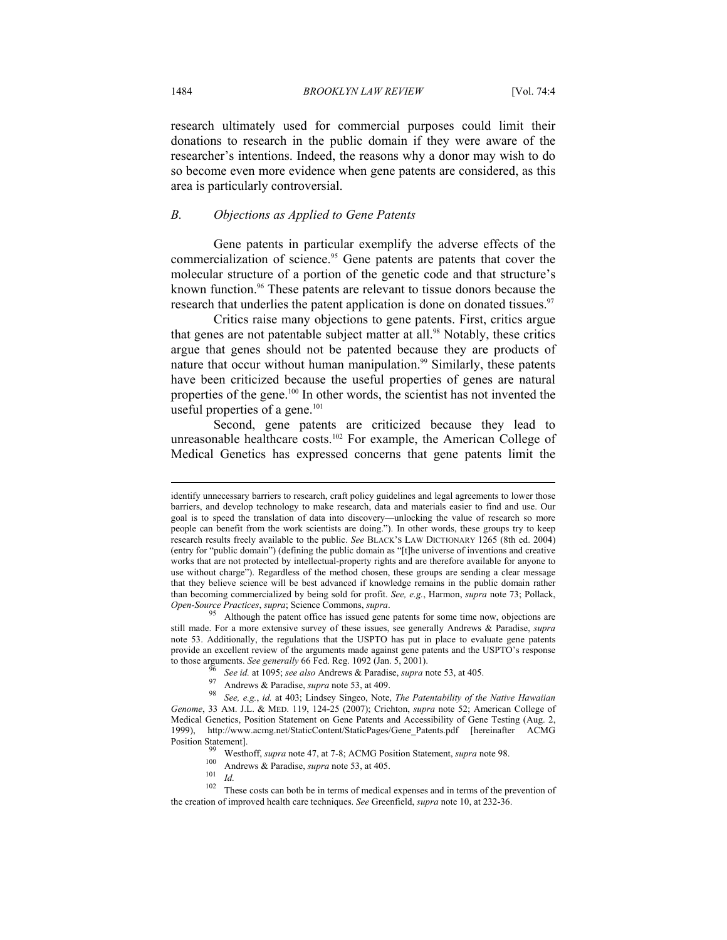research ultimately used for commercial purposes could limit their donations to research in the public domain if they were aware of the researcher's intentions. Indeed, the reasons why a donor may wish to do so become even more evidence when gene patents are considered, as this area is particularly controversial.

#### *B. Objections as Applied to Gene Patents*

Gene patents in particular exemplify the adverse effects of the commercialization of science.<sup>95</sup> Gene patents are patents that cover the molecular structure of a portion of the genetic code and that structure's known function.<sup>96</sup> These patents are relevant to tissue donors because the research that underlies the patent application is done on donated tissues.<sup>97</sup>

Critics raise many objections to gene patents. First, critics argue that genes are not patentable subject matter at all.<sup>98</sup> Notably, these critics argue that genes should not be patented because they are products of nature that occur without human manipulation.<sup>99</sup> Similarly, these patents have been criticized because the useful properties of genes are natural properties of the gene.<sup>100</sup> In other words, the scientist has not invented the useful properties of a gene.<sup>101</sup>

Second, gene patents are criticized because they lead to unreasonable healthcare costs.<sup>102</sup> For example, the American College of Medical Genetics has expressed concerns that gene patents limit the

identify unnecessary barriers to research, craft policy guidelines and legal agreements to lower those barriers, and develop technology to make research, data and materials easier to find and use. Our goal is to speed the translation of data into discovery—unlocking the value of research so more people can benefit from the work scientists are doing."). In other words, these groups try to keep research results freely available to the public. *See* BLACK'S LAW DICTIONARY 1265 (8th ed. 2004) (entry for "public domain") (defining the public domain as "[t]he universe of inventions and creative works that are not protected by intellectual-property rights and are therefore available for anyone to use without charge"). Regardless of the method chosen, these groups are sending a clear message that they believe science will be best advanced if knowledge remains in the public domain rather than becoming commercialized by being sold for profit. *See, e.g.*, Harmon, *supra* note 73; Pollack,

Although the patent office has issued gene patents for some time now, objections are still made. For a more extensive survey of these issues, see generally Andrews & Paradise, *supra* note 53. Additionally, the regulations that the USPTO has put in place to evaluate gene patents provide an excellent review of the arguments made against gene patents and the USPTO's response to those arguments. See generally 66 Fed. Reg. 1092 (Jan. 5, 2001).

<sup>&</sup>lt;sup>96</sup> See id. at 1095; see also Andrews & Paradise, supra note 53, at 405.<br><sup>97</sup> Andrews & Paradise, *supra* note 53, at 409.<br><sup>98</sup> See, e.g., id. at 403; Lindsey Singeo, Note, *The Patentability of the Native Hawaiian Genome*, 33 AM. J.L. & MED. 119, 124-25 (2007); Crichton, *supra* note 52; American College of Medical Genetics, Position Statement on Gene Patents and Accessibility of Gene Testing (Aug. 2, 1999), http://www.acmg.net/StaticContent/StaticPages/Gene\_Patents.pdf [hereinafter ACMG Position Statement].<br>
<sup>99</sup> Westhoff, *supra* note 47, at 7-8; ACMG Position Statement, *supra* note 98.<br>
<sup>100</sup> Andrews & Paradise, *supra* note 53, at 405.<br>
<sup>101</sup> *Id.*<br>
<sup>102</sup> These costs can both be in terms of medical e

the creation of improved health care techniques. *See* Greenfield, *supra* note 10, at 232-36.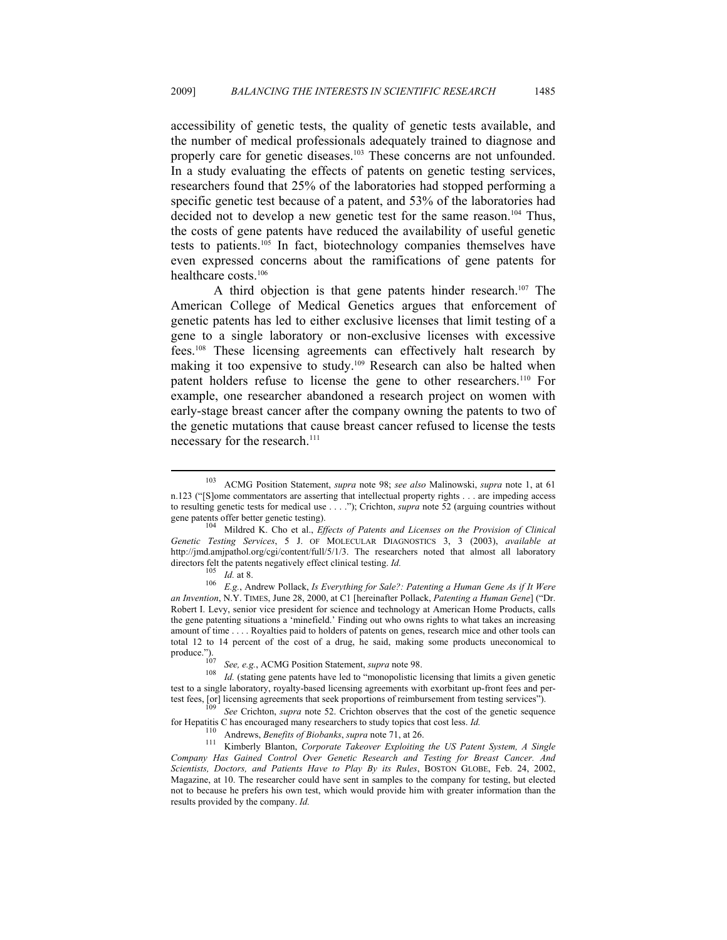accessibility of genetic tests, the quality of genetic tests available, and the number of medical professionals adequately trained to diagnose and properly care for genetic diseases.<sup>103</sup> These concerns are not unfounded. In a study evaluating the effects of patents on genetic testing services, researchers found that 25% of the laboratories had stopped performing a specific genetic test because of a patent, and 53% of the laboratories had decided not to develop a new genetic test for the same reason.<sup>104</sup> Thus, the costs of gene patents have reduced the availability of useful genetic tests to patients.105 In fact, biotechnology companies themselves have even expressed concerns about the ramifications of gene patents for healthcare costs.<sup>106</sup>

A third objection is that gene patents hinder research.<sup>107</sup> The American College of Medical Genetics argues that enforcement of genetic patents has led to either exclusive licenses that limit testing of a gene to a single laboratory or non-exclusive licenses with excessive fees.108 These licensing agreements can effectively halt research by making it too expensive to study.<sup>109</sup> Research can also be halted when patent holders refuse to license the gene to other researchers.110 For example, one researcher abandoned a research project on women with early-stage breast cancer after the company owning the patents to two of the genetic mutations that cause breast cancer refused to license the tests necessary for the research.<sup>111</sup>

<sup>103</sup> ACMG Position Statement, *supra* note 98; *see also* Malinowski, *supra* note 1, at 61 n.123 ("[S]ome commentators are asserting that intellectual property rights . . . are impeding access to resulting genetic tests for medical use . . . ."); Crichton, *supra* note 52 (arguing countries without gene patents offer better genetic testing). 104 Mildred K. Cho et al., *Effects of Patents and Licenses on the Provision of Clinical* 

*Genetic Testing Services*, 5 J. OF MOLECULAR DIAGNOSTICS 3, 3 (2003), *available at* http://jmd.amjpathol.org/cgi/content/full/5/1/3. The researchers noted that almost all laboratory

directors felt the patents negatively effect clinical testing. *Id.*<br><sup>105</sup> *Id.* at 8.<br><sup>106</sup> *E.g.*, Andrew Pollack, *Is Everything for Sale?: Patenting a Human Gene As if It Were an Invention*, N.Y. TIMES, June 28, 2000, at C1 [hereinafter Pollack, *Patenting a Human Gene*] ("Dr. Robert I. Levy, senior vice president for science and technology at American Home Products, calls the gene patenting situations a 'minefield.' Finding out who owns rights to what takes an increasing amount of time . . . . Royalties paid to holders of patents on genes, research mice and other tools can total 12 to 14 percent of the cost of a drug, he said, making some products uneconomical to produce.")

produce."). 107 *See, e.g.*, ACMG Position Statement, *supra* note 98. 108 *Id.* (stating gene patents have led to "monopolistic licensing that limits a given genetic test to a single laboratory, royalty-based licensing agreements with exorbitant up-front fees and pertest fees, [or] licensing agreements that seek proportions of reimbursement from testing services").<br><sup>109</sup> See Crichton, *supra* note 52. Crichton observes that the cost of the genetic sequence

for Hepatitis C has encouraged many researchers to study topics that cost less. *Id.*<br><sup>110</sup> Andrews, *Benefits of Biobanks*, *supra* note 71, at 26.<br><sup>111</sup> Kimberly Blanton, *Corporate Takeover Exploiting the US Patent Syst* 

*Company Has Gained Control Over Genetic Research and Testing for Breast Cancer. And Scientists, Doctors, and Patients Have to Play By its Rules*, BOSTON GLOBE, Feb. 24, 2002, Magazine, at 10. The researcher could have sent in samples to the company for testing, but elected not to because he prefers his own test, which would provide him with greater information than the results provided by the company. *Id.*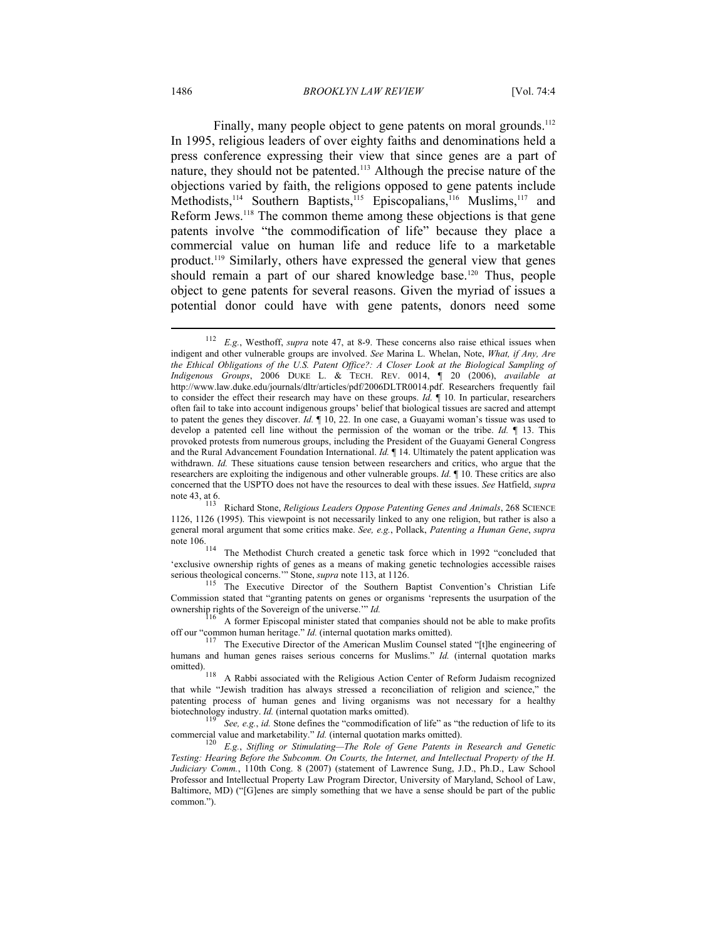Finally, many people object to gene patents on moral grounds.<sup>112</sup> In 1995, religious leaders of over eighty faiths and denominations held a press conference expressing their view that since genes are a part of nature, they should not be patented.113 Although the precise nature of the objections varied by faith, the religions opposed to gene patents include Methodists,<sup>114</sup> Southern Baptists,<sup>115</sup> Episcopalians,<sup>116</sup> Muslims,<sup>117</sup> and Reform Jews.118 The common theme among these objections is that gene patents involve "the commodification of life" because they place a commercial value on human life and reduce life to a marketable product.119 Similarly, others have expressed the general view that genes should remain a part of our shared knowledge base.<sup>120</sup> Thus, people object to gene patents for several reasons. Given the myriad of issues a potential donor could have with gene patents, donors need some

<sup>112</sup> *E.g.*, Westhoff, *supra* note 47, at 8-9. These concerns also raise ethical issues when indigent and other vulnerable groups are involved. *See* Marina L. Whelan, Note, *What, if Any, Are the Ethical Obligations of the U.S. Patent Office?: A Closer Look at the Biological Sampling of Indigenous Groups*, 2006 DUKE L. & TECH. REV. 0014, ¶ 20 (2006), *available at* http://www.law.duke.edu/journals/dltr/articles/pdf/2006DLTR0014.pdf. Researchers frequently fail to consider the effect their research may have on these groups. *Id.* ¶ 10. In particular, researchers often fail to take into account indigenous groups' belief that biological tissues are sacred and attempt to patent the genes they discover. *Id.* ¶ 10, 22. In one case, a Guayami woman's tissue was used to develop a patented cell line without the permission of the woman or the tribe. *Id.* ¶ 13. This provoked protests from numerous groups, including the President of the Guayami General Congress and the Rural Advancement Foundation International. *Id.* ¶ 14. Ultimately the patent application was withdrawn. *Id.* These situations cause tension between researchers and critics, who argue that the researchers are exploiting the indigenous and other vulnerable groups. *Id.* ¶ 10. These critics are also concerned that the USPTO does not have the resources to deal with these issues. *See* Hatfield, *supra*<br>note 43, at 6.<br> $^{113}$  **District States** *Delivious Loadors Oppose Patenting Genes and Animals* 268 SCIENCE

Richard Stone, *Religious Leaders Oppose Patenting Genes and Animals*, 268 SCIENCE 1126, 1126 (1995). This viewpoint is not necessarily linked to any one religion, but rather is also a general moral argument that some critics make. *See, e.g.*, Pollack, *Patenting a Human Gene*, *supra*

note 106. 114 The Methodist Church created a genetic task force which in 1992 "concluded that 'exclusive ownership rights of genes as a means of making genetic technologies accessible raises serious theological concerns." Stone, *supra* note 113, at 1126.

<sup>&</sup>lt;sup>115</sup> The Executive Director of the Southern Baptist Convention's Christian Life Commission stated that "granting patents on genes or organisms 'represents the usurpation of the ownership rights of the Sovereign of the universe."  $Id$ .

 $^{116}$  A former Episcopal minister stated that companies should not be able to make profits of four "common human heritage." *Id.* (internal quotation marks omitted).

<sup>&</sup>lt;sup>117</sup> The Executive Director of the American Muslim Counsel stated "[t]he engineering of humans and human genes raises serious concerns for Muslims." *Id.* (internal quotation marks omitted).<br>
118 A Rabbi associated with the Religious Action Center of Reform Judaism recognized

that while "Jewish tradition has always stressed a reconciliation of religion and science," the patenting process of human genes and living organisms was not necessary for a healthy biotechnology industry. *Id.* (internal quotation marks omitted).

See, e.g., *id.* Stone defines the "commodification of life" as "the reduction of life to its commercial value and marketability." *Id.* (internal quotation marks omitted).<br><sup>120</sup> E.g., *Stifling or Stimulating—The Role of Gene Patents in Research and Genetic* 

*Testing: Hearing Before the Subcomm. On Courts, the Internet, and Intellectual Property of the H. Judiciary Comm.*, 110th Cong. 8 (2007) (statement of Lawrence Sung, J.D., Ph.D., Law School Professor and Intellectual Property Law Program Director, University of Maryland, School of Law, Baltimore, MD) ("[G]enes are simply something that we have a sense should be part of the public common.").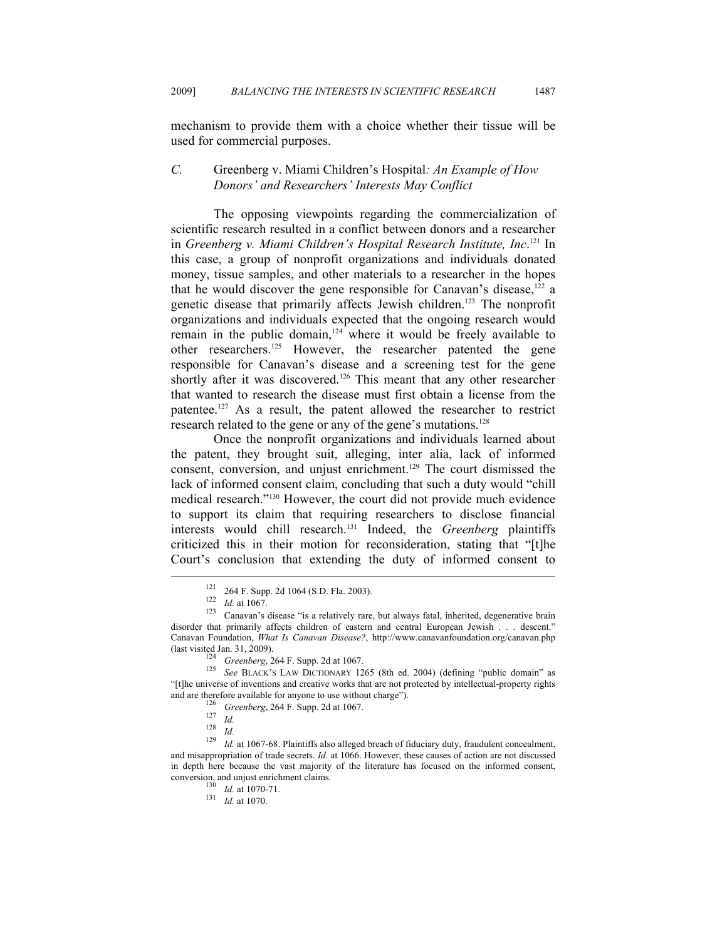mechanism to provide them with a choice whether their tissue will be used for commercial purposes.

### *C.* Greenberg v. Miami Children's Hospital*: An Example of How Donors' and Researchers' Interests May Conflict*

The opposing viewpoints regarding the commercialization of scientific research resulted in a conflict between donors and a researcher in *Greenberg v. Miami Children's Hospital Research Institute, Inc*. 121 In this case, a group of nonprofit organizations and individuals donated money, tissue samples, and other materials to a researcher in the hopes that he would discover the gene responsible for Canavan's disease, $122$  a genetic disease that primarily affects Jewish children.123 The nonprofit organizations and individuals expected that the ongoing research would remain in the public domain, $124$  where it would be freely available to other researchers.125 However, the researcher patented the gene responsible for Canavan's disease and a screening test for the gene shortly after it was discovered.<sup>126</sup> This meant that any other researcher that wanted to research the disease must first obtain a license from the patentee.127 As a result, the patent allowed the researcher to restrict research related to the gene or any of the gene's mutations.<sup>128</sup>

Once the nonprofit organizations and individuals learned about the patent, they brought suit, alleging, inter alia, lack of informed consent, conversion, and unjust enrichment.<sup>129</sup> The court dismissed the lack of informed consent claim, concluding that such a duty would "chill medical research."130 However, the court did not provide much evidence to support its claim that requiring researchers to disclose financial interests would chill research.131 Indeed, the *Greenberg* plaintiffs criticized this in their motion for reconsideration, stating that "[t]he Court's conclusion that extending the duty of informed consent to  $\overline{a}$ 

<sup>121 264</sup> F. Supp. 2d 1064 (S.D. Fla. 2003).<br>
122 *Id.* at 1067.<br>
123 Canavan's disease "is a relatively rare, but always fatal, inherited, degenerative brain disorder that primarily affects children of eastern and central European Jewish . . . descent." Canavan Foundation, *What Is Canavan Disease?*, http://www.canavanfoundation.org/canavan.php

<sup>(</sup>last visited Jan. 31, 2009). 124 *Greenberg*, 264 F. Supp. 2d at 1067. 125 *See* BLACK'S LAW DICTIONARY 1265 (8th ed. 2004) (defining "public domain" as "[t]he universe of inventions and creative works that are not protected by intellectual-property rights

and are therefore available for anyone to use without charge").<br>  $^{126}$  Greenberg, 264 F. Supp. 2d at 1067.<br>  $^{127}$  *Id.*<br>  $^{128}$  *Id.*<br>  $^{128}$  *Id.*<br>  $^{129}$  *Id.* at 1067-68. Plaintiffs also alleged breach of fiduci and misappropriation of trade secrets. *Id.* at 1066. However, these causes of action are not discussed in depth here because the vast majority of the literature has focused on the informed consent,

 $\frac{130}{130}$  *Id.* at 1070-71.<br><sup>131</sup> *Id.* at 1070.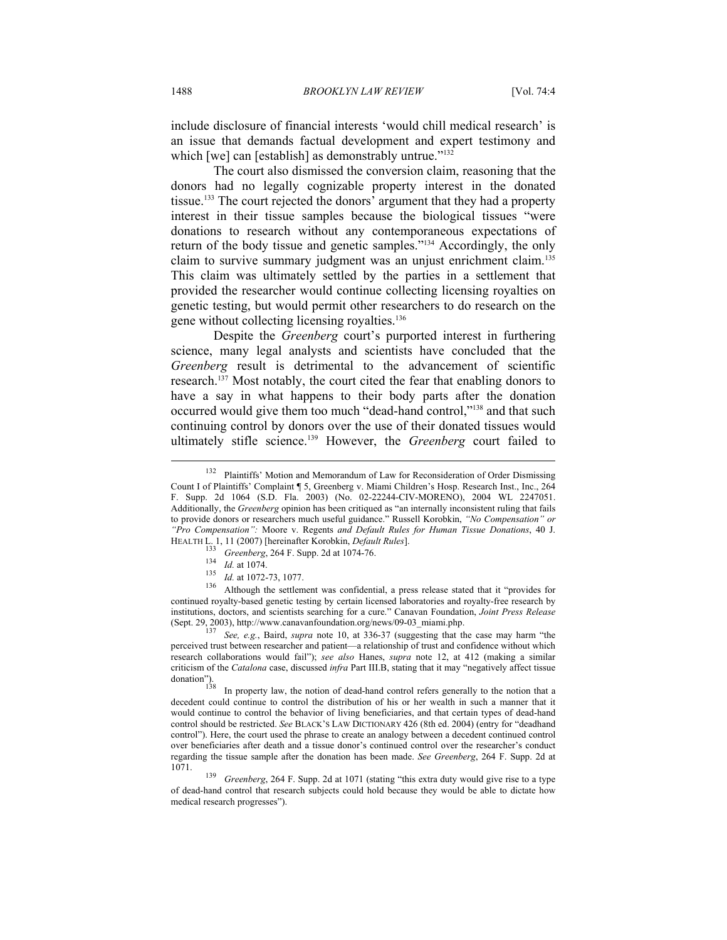include disclosure of financial interests 'would chill medical research' is an issue that demands factual development and expert testimony and which [we] can [establish] as demonstrably untrue."<sup>132</sup>

The court also dismissed the conversion claim, reasoning that the donors had no legally cognizable property interest in the donated tissue.133 The court rejected the donors' argument that they had a property interest in their tissue samples because the biological tissues "were donations to research without any contemporaneous expectations of return of the body tissue and genetic samples."134 Accordingly, the only claim to survive summary judgment was an unjust enrichment claim.<sup>135</sup> This claim was ultimately settled by the parties in a settlement that provided the researcher would continue collecting licensing royalties on genetic testing, but would permit other researchers to do research on the gene without collecting licensing royalties.136

Despite the *Greenberg* court's purported interest in furthering science, many legal analysts and scientists have concluded that the *Greenberg* result is detrimental to the advancement of scientific research.<sup>137</sup> Most notably, the court cited the fear that enabling donors to have a say in what happens to their body parts after the donation occurred would give them too much "dead-hand control,"138 and that such continuing control by donors over the use of their donated tissues would ultimately stifle science.139 However, the *Greenberg* court failed to

<sup>&</sup>lt;sup>132</sup> Plaintiffs' Motion and Memorandum of Law for Reconsideration of Order Dismissing Count I of Plaintiffs' Complaint ¶ 5, Greenberg v. Miami Children's Hosp. Research Inst., Inc., 264 F. Supp. 2d 1064 (S.D. Fla. 2003) (No. 02-22244-CIV-MORENO), 2004 WL 2247051. Additionally, the *Greenberg* opinion has been critiqued as "an internally inconsistent ruling that fails to provide donors or researchers much useful guidance." Russell Korobkin, *"No Compensation" or "Pro Compensation":* Moore v. Regents *and Default Rules for Human Tissue Donations*, 40 J. HEALTH L. 1, 11 (2007) [hereinafter Korobkin, *Default Rules*].

<sup>&</sup>lt;sup>133</sup> Greenberg, 264 F. Supp. 2d at 1074-76.<br>
<sup>134</sup> *Id.* at 1074.<br>
<sup>135</sup> *Id.* at 1072-73, 1077.<br>
<sup>136</sup> Although the settlement was confidential, a press release stated that it "provides for continued royalty-based genetic testing by certain licensed laboratories and royalty-free research by institutions, doctors, and scientists searching for a cure." Canavan Foundation, *Joint Press Release*  (Sept. 29, 2003), http://www.canavanfoundation.org/news/09-03\_miami.php. 137 *See, e.g.*, Baird, *supra* note 10, at 336-37 (suggesting that the case may harm "the

perceived trust between researcher and patient—a relationship of trust and confidence without which research collaborations would fail"); *see also* Hanes, *supra* note 12, at 412 (making a similar criticism of the *Catalona* case, discussed *infra* Part III.B, stating that it may "negatively affect tissue

In property law, the notion of dead-hand control refers generally to the notion that a decedent could continue to control the distribution of his or her wealth in such a manner that it would continue to control the behavior of living beneficiaries, and that certain types of dead-hand control should be restricted. *See* BLACK'S LAW DICTIONARY 426 (8th ed. 2004) (entry for "deadhand control"). Here, the court used the phrase to create an analogy between a decedent continued control over beneficiaries after death and a tissue donor's continued control over the researcher's conduct regarding the tissue sample after the donation has been made. *See Greenberg*, 264 F. Supp. 2d at 1071. 139 *Greenberg*, 264 F. Supp. 2d at 1071 (stating "this extra duty would give rise to a type

of dead-hand control that research subjects could hold because they would be able to dictate how medical research progresses").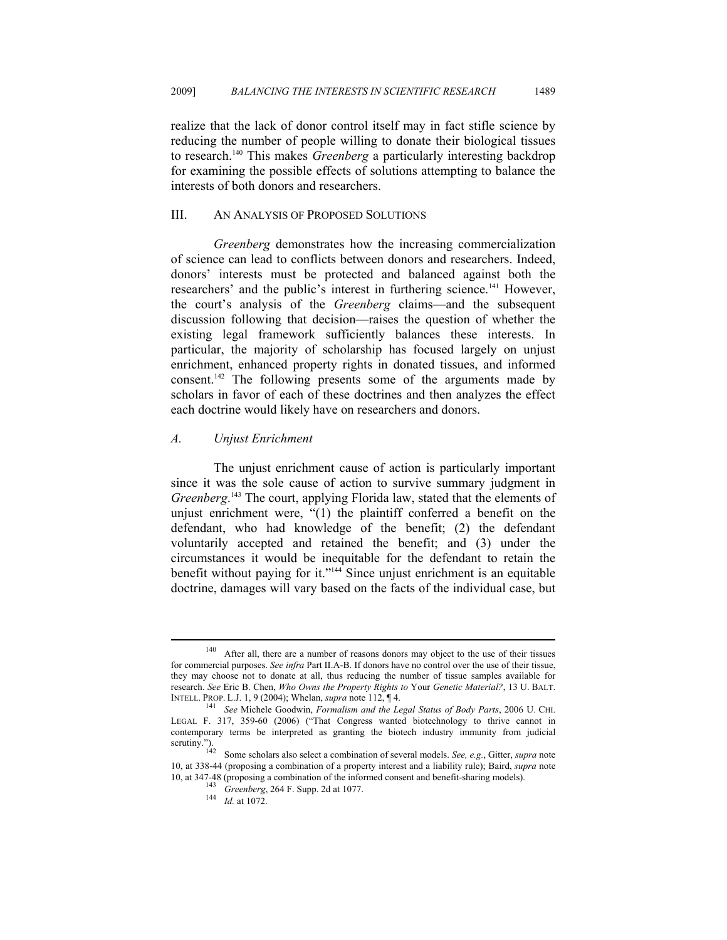realize that the lack of donor control itself may in fact stifle science by reducing the number of people willing to donate their biological tissues to research.140 This makes *Greenberg* a particularly interesting backdrop for examining the possible effects of solutions attempting to balance the interests of both donors and researchers.

### III. AN ANALYSIS OF PROPOSED SOLUTIONS

*Greenberg* demonstrates how the increasing commercialization of science can lead to conflicts between donors and researchers. Indeed, donors' interests must be protected and balanced against both the researchers' and the public's interest in furthering science.141 However, the court's analysis of the *Greenberg* claims—and the subsequent discussion following that decision—raises the question of whether the existing legal framework sufficiently balances these interests. In particular, the majority of scholarship has focused largely on unjust enrichment, enhanced property rights in donated tissues, and informed consent.142 The following presents some of the arguments made by scholars in favor of each of these doctrines and then analyzes the effect each doctrine would likely have on researchers and donors.

#### *A. Unjust Enrichment*

The unjust enrichment cause of action is particularly important since it was the sole cause of action to survive summary judgment in *Greenberg*. 143 The court, applying Florida law, stated that the elements of unjust enrichment were, "(1) the plaintiff conferred a benefit on the defendant, who had knowledge of the benefit; (2) the defendant voluntarily accepted and retained the benefit; and (3) under the circumstances it would be inequitable for the defendant to retain the benefit without paying for it."144 Since unjust enrichment is an equitable doctrine, damages will vary based on the facts of the individual case, but

<sup>140</sup> After all, there are a number of reasons donors may object to the use of their tissues for commercial purposes. *See infra* Part II.A-B. If donors have no control over the use of their tissue, they may choose not to donate at all, thus reducing the number of tissue samples available for research. *See* Eric B. Chen, *Who Owns the Property Rights to* Your *Genetic Material?*, 13 U. BALT. INTELL. PROP. L.J. 1, 9 (2004); Whelan, *supra* note 112, ¶ 4. 141 *See* Michele Goodwin, *Formalism and the Legal Status of Body Parts*, 2006 U. CHI.

LEGAL F. 317, 359-60 (2006) ("That Congress wanted biotechnology to thrive cannot in contemporary terms be interpreted as granting the biotech industry immunity from judicial scrutiny.").

Some scholars also select a combination of several models. *See, e.g.*, Gitter, *supra* note 10, at 338-44 (proposing a combination of a property interest and a liability rule); Baird, *supra* note

<sup>143&</sup>lt;br>144 *Greenberg*, 264 F. Supp. 2d at 1077.<br>144 *Id.* at 1072.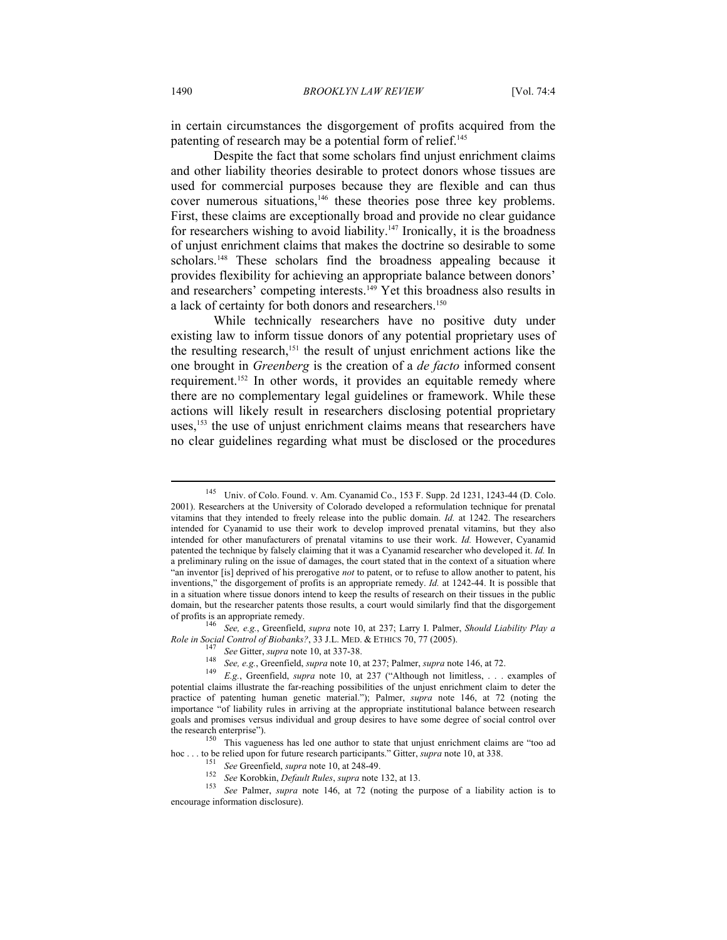in certain circumstances the disgorgement of profits acquired from the patenting of research may be a potential form of relief.<sup>145</sup>

Despite the fact that some scholars find unjust enrichment claims and other liability theories desirable to protect donors whose tissues are used for commercial purposes because they are flexible and can thus cover numerous situations,<sup>146</sup> these theories pose three key problems. First, these claims are exceptionally broad and provide no clear guidance for researchers wishing to avoid liability.<sup>147</sup> Ironically, it is the broadness of unjust enrichment claims that makes the doctrine so desirable to some scholars.<sup>148</sup> These scholars find the broadness appealing because it provides flexibility for achieving an appropriate balance between donors' and researchers' competing interests.<sup>149</sup> Yet this broadness also results in a lack of certainty for both donors and researchers.<sup>150</sup>

While technically researchers have no positive duty under existing law to inform tissue donors of any potential proprietary uses of the resulting research,<sup>151</sup> the result of unjust enrichment actions like the one brought in *Greenberg* is the creation of a *de facto* informed consent requirement.152 In other words, it provides an equitable remedy where there are no complementary legal guidelines or framework. While these actions will likely result in researchers disclosing potential proprietary uses,<sup>153</sup> the use of unjust enrichment claims means that researchers have no clear guidelines regarding what must be disclosed or the procedures

of profits is an appropriate remedy. 146 *See, e.g.*, Greenfield, *supra* note 10, at 237; Larry I. Palmer, *Should Liability Play a* 

<sup>150</sup> This vagueness has led one author to state that unjust enrichment claims are "too ad

<sup>145</sup> Univ. of Colo. Found. v. Am. Cyanamid Co., 153 F. Supp. 2d 1231, 1243-44 (D. Colo. 2001). Researchers at the University of Colorado developed a reformulation technique for prenatal vitamins that they intended to freely release into the public domain. *Id.* at 1242. The researchers intended for Cyanamid to use their work to develop improved prenatal vitamins, but they also intended for other manufacturers of prenatal vitamins to use their work. *Id.* However, Cyanamid patented the technique by falsely claiming that it was a Cyanamid researcher who developed it. *Id.* In a preliminary ruling on the issue of damages, the court stated that in the context of a situation where "an inventor [is] deprived of his prerogative *not* to patent, or to refuse to allow another to patent, his inventions," the disgorgement of profits is an appropriate remedy. *Id.* at 1242-44. It is possible that in a situation where tissue donors intend to keep the results of research on their tissues in the public domain, but the researcher patents those results, a court would similarly find that the disgorgement

<sup>&</sup>lt;sup>147</sup> See Gitter, *supra* note 10, at 337-38.<br><sup>148</sup> See, e.g., Greenfield, *supra* note 10, at 237; Palmer, *supra* note 146, at 72.<br><sup>149</sup> E.g., Greenfield, *supra* note 10, at 237 ("Although not limitless, ... examples o potential claims illustrate the far-reaching possibilities of the unjust enrichment claim to deter the practice of patenting human genetic material."); Palmer, *supra* note 146, at 72 (noting the importance "of liability rules in arriving at the appropriate institutional balance between research goals and promises versus individual and group desires to have some degree of social control over the research enterprise").

hoc ... to be relied upon for future research participants." Gitter, *supra* note 10, at 338.<br>
<sup>151</sup> See Greenfield, *supra* note 10, at 248-49.<br>
<sup>152</sup> See Korobkin, *Default Rules*, *supra* note 132, at 13.<br>
<sup>153</sup> See Pal encourage information disclosure).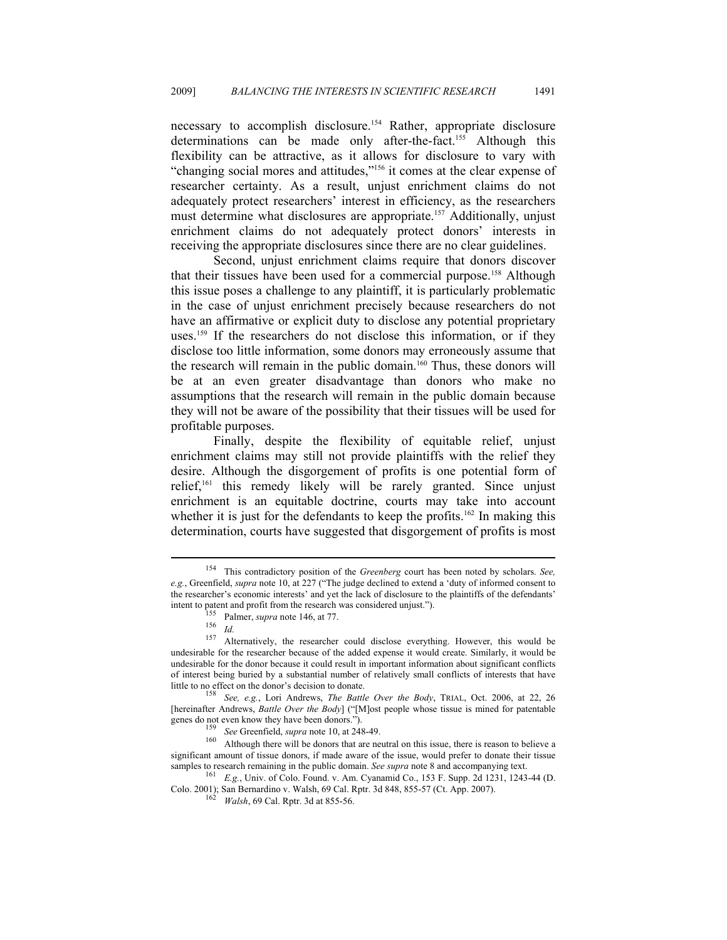necessary to accomplish disclosure.<sup>154</sup> Rather, appropriate disclosure determinations can be made only after-the-fact.<sup>155</sup> Although this flexibility can be attractive, as it allows for disclosure to vary with "changing social mores and attitudes,"156 it comes at the clear expense of researcher certainty. As a result, unjust enrichment claims do not adequately protect researchers' interest in efficiency, as the researchers must determine what disclosures are appropriate.157 Additionally, unjust enrichment claims do not adequately protect donors' interests in receiving the appropriate disclosures since there are no clear guidelines.

Second, unjust enrichment claims require that donors discover that their tissues have been used for a commercial purpose.158 Although this issue poses a challenge to any plaintiff, it is particularly problematic in the case of unjust enrichment precisely because researchers do not have an affirmative or explicit duty to disclose any potential proprietary uses.<sup>159</sup> If the researchers do not disclose this information, or if they disclose too little information, some donors may erroneously assume that the research will remain in the public domain.<sup>160</sup> Thus, these donors will be at an even greater disadvantage than donors who make no assumptions that the research will remain in the public domain because they will not be aware of the possibility that their tissues will be used for profitable purposes.

Finally, despite the flexibility of equitable relief, unjust enrichment claims may still not provide plaintiffs with the relief they desire. Although the disgorgement of profits is one potential form of relief,161 this remedy likely will be rarely granted. Since unjust enrichment is an equitable doctrine, courts may take into account whether it is just for the defendants to keep the profits.<sup>162</sup> In making this determination, courts have suggested that disgorgement of profits is most

 $\overline{a}$ 

genes do not even know they have been donors.").<br><sup>159</sup> *See* Greenfield, *supra* note 10, at 248-49.<br><sup>160</sup> Although there will be donors that are neutral on this issue, there is reason to believe a significant amount of tissue donors, if made aware of the issue, would prefer to donate their tissue samples to research remaining in the public domain. *See supra* note 8 and accompanying text.<br><sup>161</sup> E.g., Univ. of Colo. Found. v. Am. Cyanamid Co., 153 F. Supp. 2d 1231, 1243-44 (D.

<sup>154</sup> This contradictory position of the *Greenberg* court has been noted by scholars. *See, e.g.*, Greenfield, *supra* note 10, at 227 ("The judge declined to extend a 'duty of informed consent to the researcher's economic interests' and yet the lack of disclosure to the plaintiffs of the defendants'

<sup>&</sup>lt;sup>155</sup> Palmer, *supra* note 146, at 77.<br><sup>156</sup> *Id.* 157 Alternatively, the researcher could disclose everything. However, this would be undesirable for the researcher because of the added expense it would create. Similarly, it would be undesirable for the donor because it could result in important information about significant conflicts of interest being buried by a substantial number of relatively small conflicts of interests that have

little to no effect on the donor's decision to donate. 158 *See, e.g.*, Lori Andrews, *The Battle Over the Body*, TRIAL, Oct. 2006, at 22, 26 [hereinafter Andrews, *Battle Over the Body*] ("[M]ost people whose tissue is mined for patentable

Colo. 2001); San Bernardino v. Walsh, 69 Cal. Rptr. 3d 848, 855-57 (Ct. App. 2007). 162 *Walsh*, 69 Cal. Rptr. 3d at 855-56.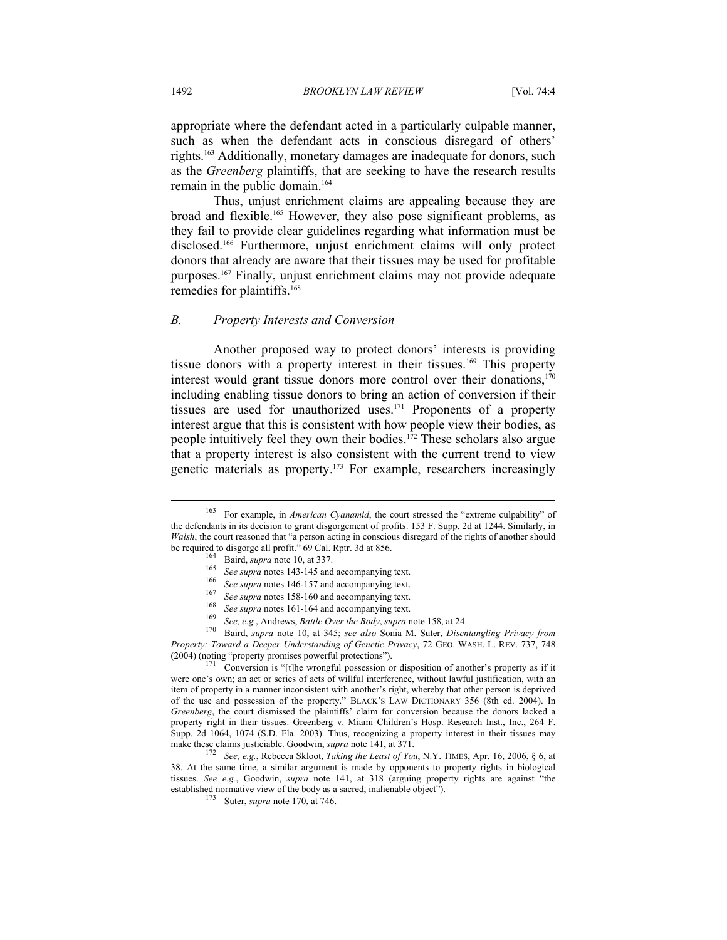appropriate where the defendant acted in a particularly culpable manner, such as when the defendant acts in conscious disregard of others' rights.163 Additionally, monetary damages are inadequate for donors, such as the *Greenberg* plaintiffs, that are seeking to have the research results remain in the public domain.<sup>164</sup>

Thus, unjust enrichment claims are appealing because they are broad and flexible.165 However, they also pose significant problems, as they fail to provide clear guidelines regarding what information must be disclosed.166 Furthermore, unjust enrichment claims will only protect donors that already are aware that their tissues may be used for profitable purposes.<sup>167</sup> Finally, unjust enrichment claims may not provide adequate remedies for plaintiffs.<sup>168</sup>

#### *B. Property Interests and Conversion*

Another proposed way to protect donors' interests is providing tissue donors with a property interest in their tissues.<sup>169</sup> This property interest would grant tissue donors more control over their donations,<sup>170</sup> including enabling tissue donors to bring an action of conversion if their tissues are used for unauthorized uses.171 Proponents of a property interest argue that this is consistent with how people view their bodies, as people intuitively feel they own their bodies.172 These scholars also argue that a property interest is also consistent with the current trend to view genetic materials as property.<sup>173</sup> For example, researchers increasingly

<sup>163</sup> For example, in *American Cyanamid*, the court stressed the "extreme culpability" of the defendants in its decision to grant disgorgement of profits. 153 F. Supp. 2d at 1244. Similarly, in *Walsh*, the court reasoned that "a person acting in conscious disregard of the rights of another should be required to disgorge all profit." 69 Cal. Rptr. 3d at 856.<br>
<sup>164</sup> Baird, *supra* note 10, at 337.<br>
<sup>165</sup> *See supra* notes 143-145 and accompanying text.<br>
<sup>166</sup> *See supra* notes 146-157 and accompanying text.<br>
<sup>167</sup>

*Property: Toward a Deeper Understanding of Genetic Privacy*, 72 GEO. WASH. L. REV. 737, 748

 $171$  Conversion is "[t]he wrongful possession or disposition of another's property as if it were one's own; an act or series of acts of willful interference, without lawful justification, with an item of property in a manner inconsistent with another's right, whereby that other person is deprived of the use and possession of the property." BLACK'S LAW DICTIONARY 356 (8th ed. 2004). In *Greenberg*, the court dismissed the plaintiffs' claim for conversion because the donors lacked a property right in their tissues. Greenberg v. Miami Children's Hosp. Research Inst., Inc., 264 F. Supp. 2d 1064, 1074 (S.D. Fla. 2003). Thus, recognizing a property interest in their tissues may make these claims justiciable. Goodwin, *supra* note 141, at 371.

<sup>&</sup>lt;sup>172</sup> See, e.g., Rebecca Skloot, *Taking the Least of You*, N.Y. TIMES, Apr. 16, 2006, § 6, at 38. At the same time, a similar argument is made by opponents to property rights in biological tissues. *See e.g.*, Goodwin, *supra* note 141, at 318 (arguing property rights are against "the established normative view of the body as a sacred, inalienable object"). 173 Suter, *supra* note 170, at 746.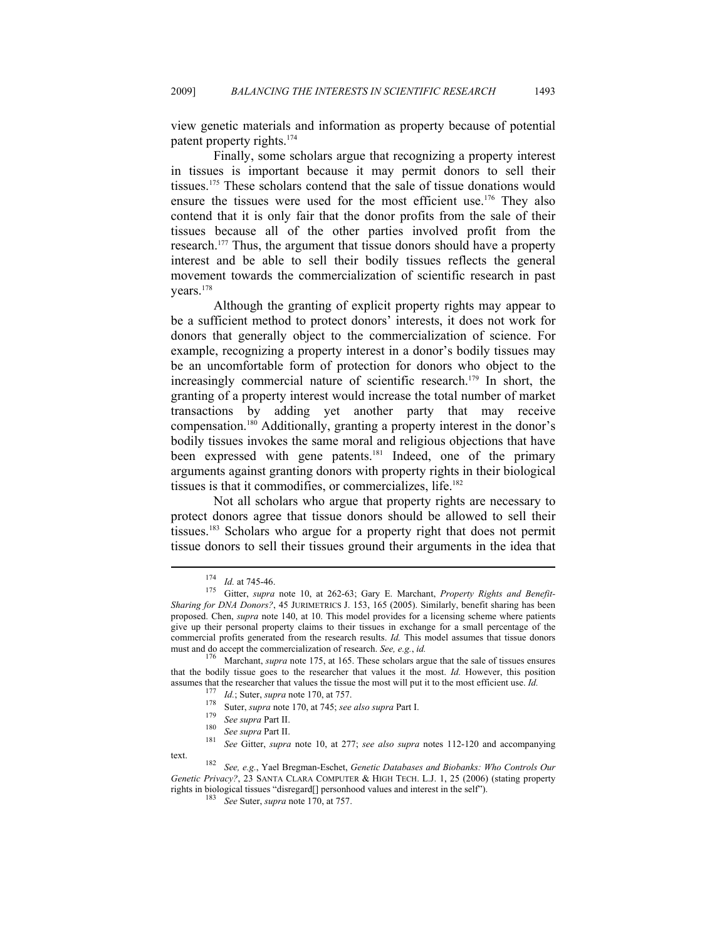view genetic materials and information as property because of potential patent property rights.174

Finally, some scholars argue that recognizing a property interest in tissues is important because it may permit donors to sell their tissues.175 These scholars contend that the sale of tissue donations would ensure the tissues were used for the most efficient use.<sup>176</sup> They also contend that it is only fair that the donor profits from the sale of their tissues because all of the other parties involved profit from the research.177 Thus, the argument that tissue donors should have a property interest and be able to sell their bodily tissues reflects the general movement towards the commercialization of scientific research in past years.178

Although the granting of explicit property rights may appear to be a sufficient method to protect donors' interests, it does not work for donors that generally object to the commercialization of science. For example, recognizing a property interest in a donor's bodily tissues may be an uncomfortable form of protection for donors who object to the increasingly commercial nature of scientific research.<sup>179</sup> In short, the granting of a property interest would increase the total number of market transactions by adding yet another party that may receive compensation.180 Additionally, granting a property interest in the donor's bodily tissues invokes the same moral and religious objections that have been expressed with gene patents.<sup>181</sup> Indeed, one of the primary arguments against granting donors with property rights in their biological tissues is that it commodifies, or commercializes, life.182

Not all scholars who argue that property rights are necessary to protect donors agree that tissue donors should be allowed to sell their tissues.183 Scholars who argue for a property right that does not permit tissue donors to sell their tissues ground their arguments in the idea that

- 
- 
- 

<sup>174</sup> *Id.* at 745-46. 175 Gitter, *supra* note 10, at 262-63; Gary E. Marchant, *Property Rights and Benefit-Sharing for DNA Donors?*, 45 JURIMETRICS J. 153, 165 (2005). Similarly, benefit sharing has been proposed. Chen, *supra* note 140, at 10. This model provides for a licensing scheme where patients give up their personal property claims to their tissues in exchange for a small percentage of the commercial profits generated from the research results. *Id.* This model assumes that tissue donors must and do accept the commercialization of research. *See*, *e.g.*, *id.* 

<sup>&</sup>lt;sup>176</sup> Marchant, *supra* note 175, at 165. These scholars argue that the sale of tissues ensures that the bodily tissue goes to the researcher that values it the most. *Id.* However, this position assumes that the researcher that values the tissue the most will put it to the most efficient use. *Id.*<br>
<sup>177</sup> *Id.*; Suter, *supra* note 170, at 757.<br>
<sup>178</sup> Suter, *supra* note 170, at 745; *see also supra* Part I.<br>
<sup>17</sup>

text. 182 *See, e.g.*, Yael Bregman-Eschet, *Genetic Databases and Biobanks: Who Controls Our Genetic Privacy?*, 23 SANTA CLARA COMPUTER & HIGH TECH. L.J. 1, 25 (2006) (stating property rights in biological tissues "disregard[] personhood values and interest in the self"). 183 *See* Suter, *supra* note 170, at 757.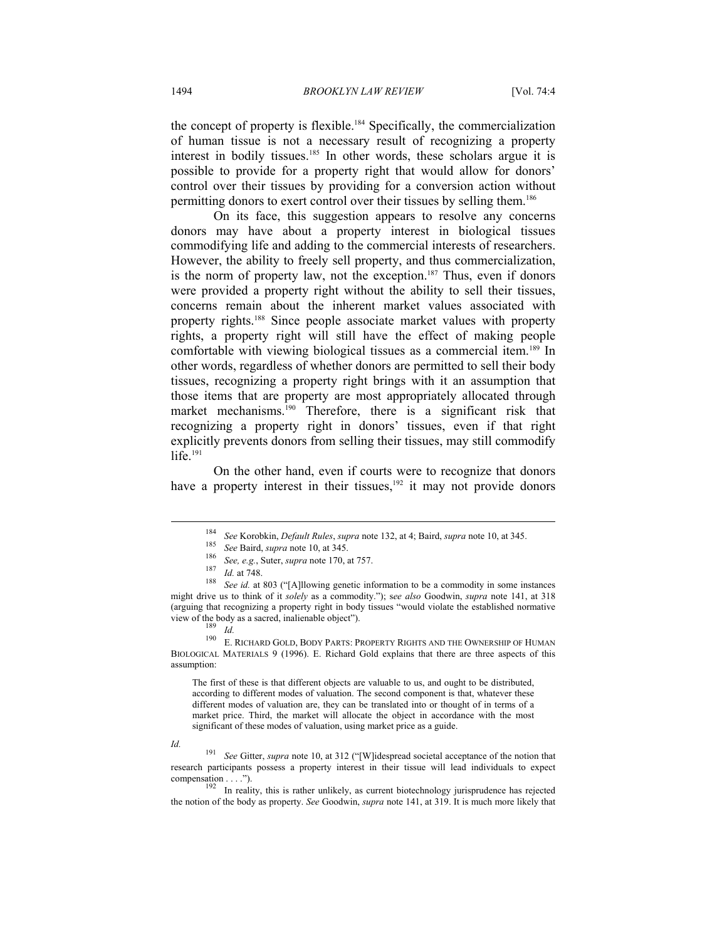the concept of property is flexible.<sup>184</sup> Specifically, the commercialization of human tissue is not a necessary result of recognizing a property interest in bodily tissues.185 In other words, these scholars argue it is possible to provide for a property right that would allow for donors' control over their tissues by providing for a conversion action without permitting donors to exert control over their tissues by selling them.186

On its face, this suggestion appears to resolve any concerns donors may have about a property interest in biological tissues commodifying life and adding to the commercial interests of researchers. However, the ability to freely sell property, and thus commercialization, is the norm of property law, not the exception.<sup>187</sup> Thus, even if donors were provided a property right without the ability to sell their tissues, concerns remain about the inherent market values associated with property rights.188 Since people associate market values with property rights, a property right will still have the effect of making people comfortable with viewing biological tissues as a commercial item.189 In other words, regardless of whether donors are permitted to sell their body tissues, recognizing a property right brings with it an assumption that those items that are property are most appropriately allocated through market mechanisms.<sup>190</sup> Therefore, there is a significant risk that recognizing a property right in donors' tissues, even if that right explicitly prevents donors from selling their tissues, may still commodify life $191$ 

On the other hand, even if courts were to recognize that donors have a property interest in their tissues,<sup>192</sup> it may not provide donors

<sup>&</sup>lt;sup>184</sup> See Korobkin, *Default Rules*, *supra* note 132, at 4; Baird, *supra* note 10, at 345.<br><sup>185</sup> See Baird, *supra* note 10, at 345.<br><sup>186</sup> See, e.g., Suter, *supra* note 170, at 757.<br><sup>187</sup> Id. at 748.<br><sup>188</sup> See id. at 8

might drive us to think of it *solely* as a commodity."); s*ee also* Goodwin, *supra* note 141, at 318 (arguing that recognizing a property right in body tissues "would violate the established normative

view of the body as a sacred, inalienable object").<br><sup>189</sup> *Id.* 190 E. RICHARD GOLD, BODY PARTS: PROPERTY RIGHTS AND THE OWNERSHIP OF HUMAN BIOLOGICAL MATERIALS 9 (1996). E. Richard Gold explains that there are three aspects of this assumption:

The first of these is that different objects are valuable to us, and ought to be distributed, according to different modes of valuation. The second component is that, whatever these different modes of valuation are, they can be translated into or thought of in terms of a market price. Third, the market will allocate the object in accordance with the most significant of these modes of valuation, using market price as a guide.

*Id.* 191 *See* Gitter, *supra* note 10, at 312 ("[W]idespread societal acceptance of the notion that research participants possess a property interest in their tissue will lead individuals to expect

compensation  $\dots$ .").<br><sup>192</sup> In reality, this is rather unlikely, as current biotechnology jurisprudence has rejected the notion of the body as property. *See* Goodwin, *supra* note 141, at 319. It is much more likely that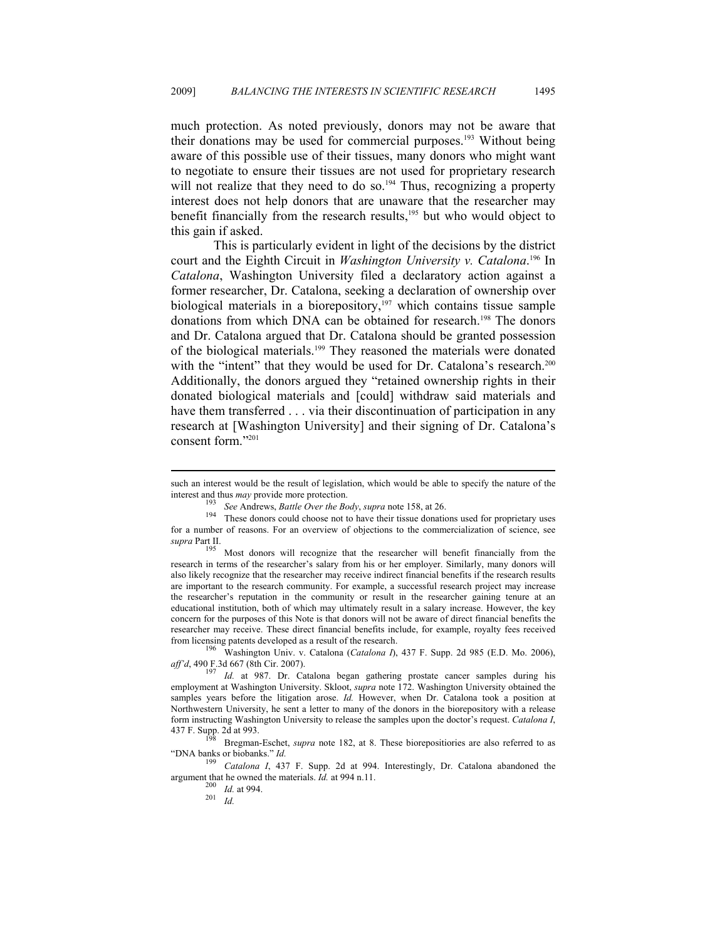much protection. As noted previously, donors may not be aware that their donations may be used for commercial purposes.193 Without being aware of this possible use of their tissues, many donors who might want to negotiate to ensure their tissues are not used for proprietary research will not realize that they need to do so.<sup>194</sup> Thus, recognizing a property interest does not help donors that are unaware that the researcher may benefit financially from the research results,<sup>195</sup> but who would object to this gain if asked.

This is particularly evident in light of the decisions by the district court and the Eighth Circuit in *Washington University v. Catalona*. 196 In *Catalona*, Washington University filed a declaratory action against a former researcher, Dr. Catalona, seeking a declaration of ownership over biological materials in a biorepository, $197$  which contains tissue sample donations from which DNA can be obtained for research.<sup>198</sup> The donors and Dr. Catalona argued that Dr. Catalona should be granted possession of the biological materials.<sup>199</sup> They reasoned the materials were donated with the "intent" that they would be used for Dr. Catalona's research.<sup>200</sup> Additionally, the donors argued they "retained ownership rights in their donated biological materials and [could] withdraw said materials and have them transferred . . . via their discontinuation of participation in any research at [Washington University] and their signing of Dr. Catalona's consent form."201

such an interest would be the result of legislation, which would be able to specify the nature of the interest and thus *may* provide more protection.<br><sup>193</sup> See Andrews, *Battle Over the Body*, *supra* note 158, at 26.<br><sup>194</sup> These donors could choose not to have their tissue donations used for proprietary uses

for a number of reasons. For an overview of objections to the commercialization of science, see *supra* Part II. 195 Most donors will recognize that the researcher will benefit financially from the

research in terms of the researcher's salary from his or her employer. Similarly, many donors will also likely recognize that the researcher may receive indirect financial benefits if the research results are important to the research community. For example, a successful research project may increase the researcher's reputation in the community or result in the researcher gaining tenure at an educational institution, both of which may ultimately result in a salary increase. However, the key concern for the purposes of this Note is that donors will not be aware of direct financial benefits the researcher may receive. These direct financial benefits include, for example, royalty fees received from licensing patents developed as a result of the research. 196 Washington Univ. v. Catalona (*Catalona I*), 437 F. Supp. 2d 985 (E.D. Mo. 2006),

*aff'd*, 490 F.3d 667 (8th Cir. 2007). 197 *Id.* at 987. Dr. Catalona began gathering prostate cancer samples during his employment at Washington University. Skloot, *supra* note 172. Washington University obtained the samples years before the litigation arose. *Id.* However, when Dr. Catalona took a position at Northwestern University, he sent a letter to many of the donors in the biorepository with a release form instructing Washington University to release the samples upon the doctor's request. *Catalona I*,

<sup>&</sup>lt;sup>198</sup> Bregman-Eschet, *supra* note 182, at 8. These biorepositiories are also referred to as "DNA banks or biobanks." *Id.* 

Catalona I, 437 F. Supp. 2d at 994. Interestingly, Dr. Catalona abandoned the argument that he owned the materials. *Id.* at 994 n.11. 200 *Id.* at 994. 201 *Id.*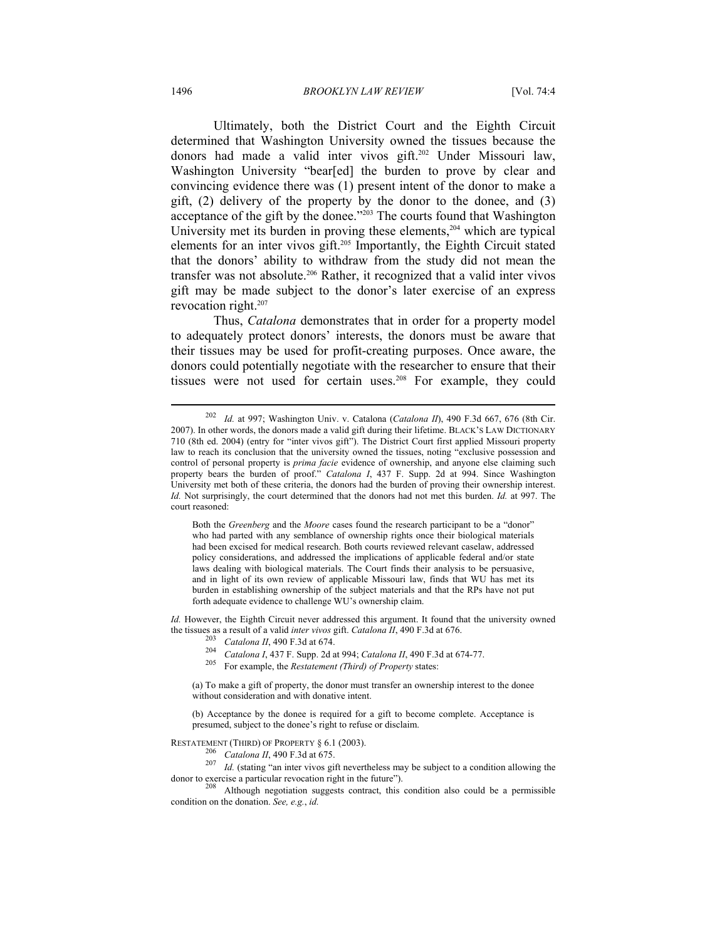Ultimately, both the District Court and the Eighth Circuit determined that Washington University owned the tissues because the donors had made a valid inter vivos gift.202 Under Missouri law, Washington University "bear[ed] the burden to prove by clear and convincing evidence there was (1) present intent of the donor to make a gift, (2) delivery of the property by the donor to the donee, and (3) acceptance of the gift by the donee."203 The courts found that Washington University met its burden in proving these elements, $204$  which are typical elements for an inter vivos gift.205 Importantly, the Eighth Circuit stated that the donors' ability to withdraw from the study did not mean the transfer was not absolute.<sup>206</sup> Rather, it recognized that a valid inter vivos gift may be made subject to the donor's later exercise of an express revocation right.<sup>207</sup>

Thus, *Catalona* demonstrates that in order for a property model to adequately protect donors' interests, the donors must be aware that their tissues may be used for profit-creating purposes. Once aware, the donors could potentially negotiate with the researcher to ensure that their tissues were not used for certain uses.<sup>208</sup> For example, they could

Both the *Greenberg* and the *Moore* cases found the research participant to be a "donor" who had parted with any semblance of ownership rights once their biological materials had been excised for medical research. Both courts reviewed relevant caselaw, addressed policy considerations, and addressed the implications of applicable federal and/or state laws dealing with biological materials. The Court finds their analysis to be persuasive, and in light of its own review of applicable Missouri law, finds that WU has met its burden in establishing ownership of the subject materials and that the RPs have not put forth adequate evidence to challenge WU's ownership claim.

*Id.* However, the Eighth Circuit never addressed this argument. It found that the university owned the tissues as a result of a valid *inter vivos* gift. *Catalona II*, 490 F.3d at 676.<br>
<sup>203</sup> *Catalona II*, 490 F.3d at 674.<br>
<sup>204</sup> *Catalona I*, 437 F. Supp. 2d at 994; *Catalona II*, 490 F.3d at 674-77.<br>
<sup>205</sup> For exam

(a) To make a gift of property, the donor must transfer an ownership interest to the donee without consideration and with donative intent.

(b) Acceptance by the donee is required for a gift to become complete. Acceptance is presumed, subject to the donee's right to refuse or disclaim.

RESTATEMENT (THIRD) OF PROPERTY § 6.1 (2003).<br><sup>206</sup> *Catalona II*, 490 F.3d at 675.<br><sup>207</sup> *Id.* (stating "an inter vivos gift nevertheless may be subject to a condition allowing the<br>donor to exercise a particular revocatio

Although negotiation suggests contract, this condition also could be a permissible condition on the donation. *See, e.g.*, *id.*

<sup>202</sup> *Id.* at 997; Washington Univ. v. Catalona (*Catalona II*), 490 F.3d 667, 676 (8th Cir. 2007). In other words, the donors made a valid gift during their lifetime. BLACK'S LAW DICTIONARY 710 (8th ed. 2004) (entry for "inter vivos gift"). The District Court first applied Missouri property law to reach its conclusion that the university owned the tissues, noting "exclusive possession and control of personal property is *prima facie* evidence of ownership, and anyone else claiming such property bears the burden of proof." *Catalona I*, 437 F. Supp. 2d at 994. Since Washington University met both of these criteria, the donors had the burden of proving their ownership interest. *Id.* Not surprisingly, the court determined that the donors had not met this burden. *Id.* at 997. The court reasoned: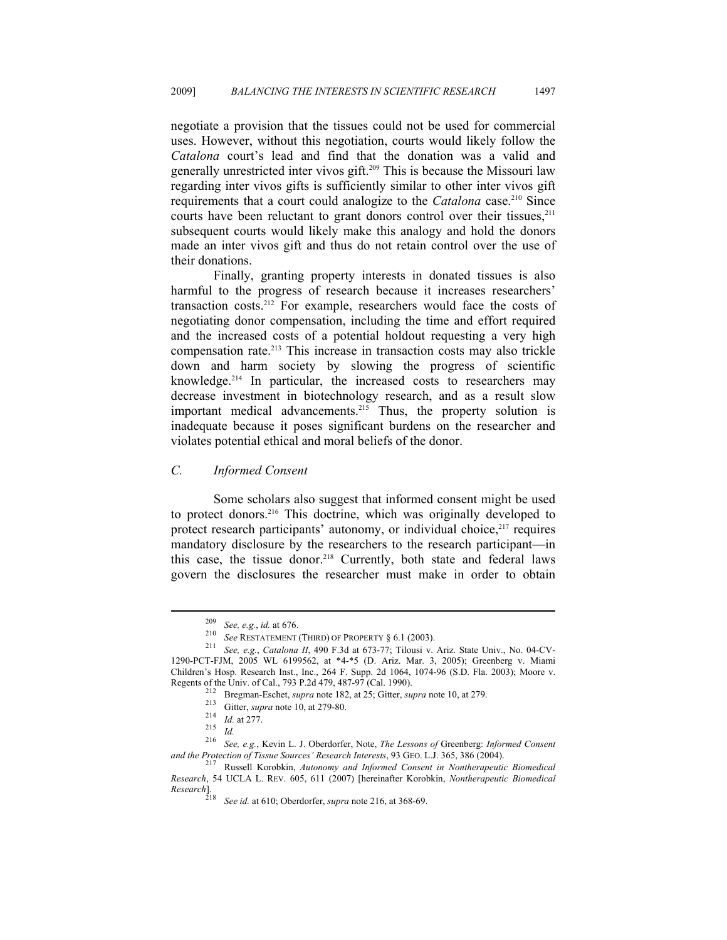negotiate a provision that the tissues could not be used for commercial uses. However, without this negotiation, courts would likely follow the *Catalona* court's lead and find that the donation was a valid and generally unrestricted inter vivos gift.209 This is because the Missouri law regarding inter vivos gifts is sufficiently similar to other inter vivos gift requirements that a court could analogize to the *Catalona* case.<sup>210</sup> Since courts have been reluctant to grant donors control over their tissues, $2^{11}$ subsequent courts would likely make this analogy and hold the donors made an inter vivos gift and thus do not retain control over the use of their donations.

Finally, granting property interests in donated tissues is also harmful to the progress of research because it increases researchers' transaction costs.212 For example, researchers would face the costs of negotiating donor compensation, including the time and effort required and the increased costs of a potential holdout requesting a very high compensation rate.<sup>213</sup> This increase in transaction costs may also trickle down and harm society by slowing the progress of scientific knowledge.214 In particular, the increased costs to researchers may decrease investment in biotechnology research, and as a result slow important medical advancements.<sup>215</sup> Thus, the property solution is inadequate because it poses significant burdens on the researcher and violates potential ethical and moral beliefs of the donor.

#### *C. Informed Consent*

Some scholars also suggest that informed consent might be used to protect donors.216 This doctrine, which was originally developed to protect research participants' autonomy, or individual choice, $217$  requires mandatory disclosure by the researchers to the research participant—in this case, the tissue donor.<sup>218</sup> Currently, both state and federal laws govern the disclosures the researcher must make in order to obtain

<sup>209</sup> *See, e.g.*, *id.* at 676. 210 *See* RESTATEMENT (THIRD) OF PROPERTY § 6.1 (2003). 211 *See, e.g.*, *Catalona II*, 490 F.3d at 673-77; Tilousi v. Ariz. State Univ., No. 04-CV-1290-PCT-FJM, 2005 WL 6199562, at \*4-\*5 (D. Ariz. Mar. 3, 2005); Greenberg v. Miami Children's Hosp. Research Inst., Inc., 264 F. Supp. 2d 1064, 1074-96 (S.D. Fla. 2003); Moore v.

Regents of the Univ. of Cal., 793 P.2d 479, 487-97 (Cal. 1990).<br>
<sup>212</sup> Bregman-Eschet, *supra* note 182, at 25; Gitter, *supra* note 10, at 279.<br>
<sup>213</sup> Gitter, *supra* note 10, at 279-80.<br>
<sup>214</sup> *Id.* at 277.<br>
<sup>216</sup> *See, and the Protection of Tissue Sources' Research Interests*, 93 GEO. L.J. 365, 386 (2004). 217 Russell Korobkin, *Autonomy and Informed Consent in Nontherapeutic Biomedical* 

*Research*, 54 UCLA L. REV. 605, 611 (2007) [hereinafter Korobkin, *Nontherapeutic Biomedical Research*].

<sup>218</sup> *See id.* at 610; Oberdorfer, *supra* note 216, at 368-69.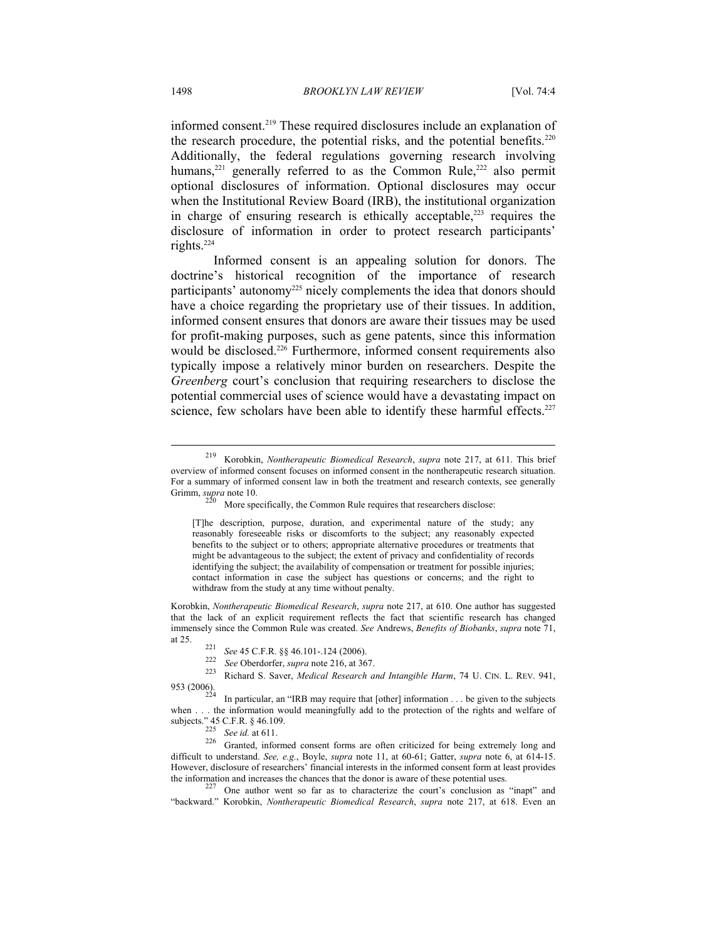informed consent.219 These required disclosures include an explanation of the research procedure, the potential risks, and the potential benefits.<sup>220</sup> Additionally, the federal regulations governing research involving humans,<sup>221</sup> generally referred to as the Common Rule,<sup>222</sup> also permit optional disclosures of information. Optional disclosures may occur when the Institutional Review Board (IRB), the institutional organization in charge of ensuring research is ethically acceptable, $223$  requires the disclosure of information in order to protect research participants' rights.224

Informed consent is an appealing solution for donors. The doctrine's historical recognition of the importance of research participants' autonomy<sup>225</sup> nicely complements the idea that donors should have a choice regarding the proprietary use of their tissues. In addition, informed consent ensures that donors are aware their tissues may be used for profit-making purposes, such as gene patents, since this information would be disclosed.<sup>226</sup> Furthermore, informed consent requirements also typically impose a relatively minor burden on researchers. Despite the *Greenberg* court's conclusion that requiring researchers to disclose the potential commercial uses of science would have a devastating impact on science, few scholars have been able to identify these harmful effects.<sup>227</sup>

[T]he description, purpose, duration, and experimental nature of the study; any reasonably foreseeable risks or discomforts to the subject; any reasonably expected benefits to the subject or to others; appropriate alternative procedures or treatments that might be advantageous to the subject; the extent of privacy and confidentiality of records identifying the subject; the availability of compensation or treatment for possible injuries; contact information in case the subject has questions or concerns; and the right to withdraw from the study at any time without penalty.

Korobkin, *Nontherapeutic Biomedical Research*, *supra* note 217, at 610. One author has suggested that the lack of an explicit requirement reflects the fact that scientific research has changed immensely since the Common Rule was created. *See* Andrews, *Benefits of Biobanks*, *supra* note 71,

In particular, an "IRB may require that [other] information . . . be given to the subjects when . . . the information would meaningfully add to the protection of the rights and welfare of subjects." 45 C.F.R. § 46.109.<br>  $225$  See id. at 611.

<sup>226</sup> Granted, informed consent forms are often criticized for being extremely long and difficult to understand. *See, e.g.*, Boyle, *supra* note 11, at 60-61; Gatter, *supra* note 6, at 614-15. However, disclosure of researchers' financial interests in the informed consent form at least provides the information and increases the chances that the donor is aware of these potential uses.<br><sup>227</sup> One author went so far as to characterize the court's conclusion as "inapt" and

"backward." Korobkin, *Nontherapeutic Biomedical Research*, *supra* note 217, at 618. Even an

<sup>219</sup> Korobkin, *Nontherapeutic Biomedical Research*, *supra* note 217, at 611. This brief overview of informed consent focuses on informed consent in the nontherapeutic research situation. For a summary of informed consent law in both the treatment and research contexts, see generally Grimm, *supra* note 10.<br><sup>220</sup> More specifically, the Common Rule requires that researchers disclose:

at 25. 221 *See* 45 C.F.R. §§ 46.101-.124 (2006). 222 *See* Oberdorfer, *supra* note 216, at 367. 223 Richard S. Saver, *Medical Research and Intangible Harm*, 74 U. CIN. L. REV. 941,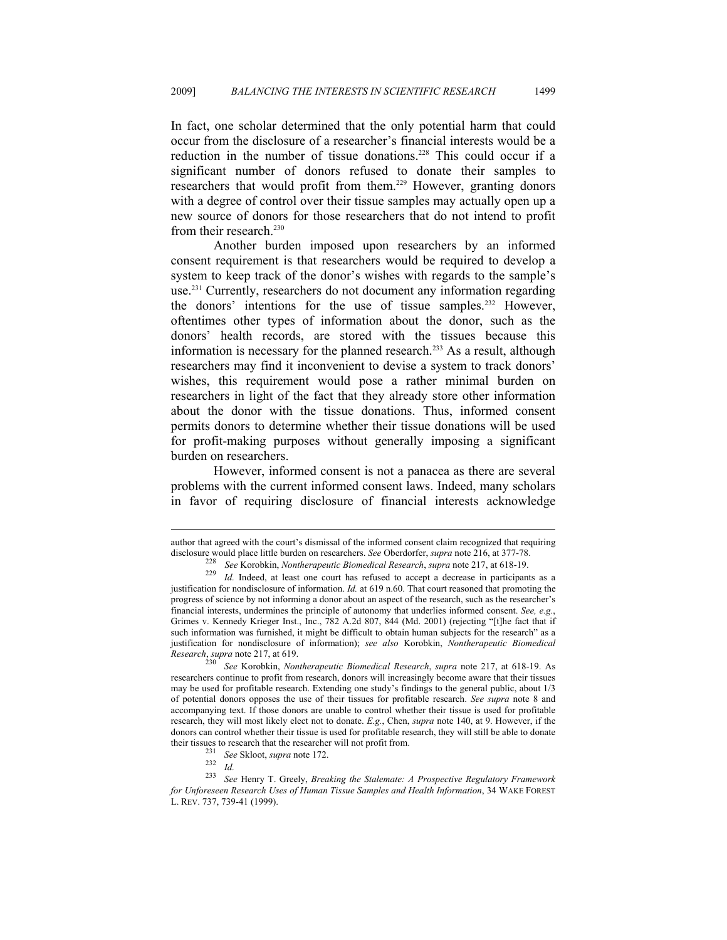In fact, one scholar determined that the only potential harm that could occur from the disclosure of a researcher's financial interests would be a reduction in the number of tissue donations.<sup>228</sup> This could occur if a significant number of donors refused to donate their samples to researchers that would profit from them.<sup>229</sup> However, granting donors with a degree of control over their tissue samples may actually open up a new source of donors for those researchers that do not intend to profit from their research.<sup>230</sup>

Another burden imposed upon researchers by an informed consent requirement is that researchers would be required to develop a system to keep track of the donor's wishes with regards to the sample's use.231 Currently, researchers do not document any information regarding the donors' intentions for the use of tissue samples.<sup>232</sup> However, oftentimes other types of information about the donor, such as the donors' health records, are stored with the tissues because this information is necessary for the planned research.<sup>233</sup> As a result, although researchers may find it inconvenient to devise a system to track donors' wishes, this requirement would pose a rather minimal burden on researchers in light of the fact that they already store other information about the donor with the tissue donations. Thus, informed consent permits donors to determine whether their tissue donations will be used for profit-making purposes without generally imposing a significant burden on researchers.

However, informed consent is not a panacea as there are several problems with the current informed consent laws. Indeed, many scholars in favor of requiring disclosure of financial interests acknowledge

author that agreed with the court's dismissal of the informed consent claim recognized that requiring

disclosure would place little burden on researchers. See Oberdorfer, *supra* note 216, at 377-78.<br><sup>228</sup> See Korobkin, *Nontherapeutic Biomedical Research*, *supra* note 217, at 618-19.<br><sup>229</sup> Id. Indeed, at least one court justification for nondisclosure of information. *Id.* at 619 n.60. That court reasoned that promoting the progress of science by not informing a donor about an aspect of the research, such as the researcher's financial interests, undermines the principle of autonomy that underlies informed consent. *See, e.g.*, Grimes v. Kennedy Krieger Inst., Inc., 782 A.2d 807, 844 (Md. 2001) (rejecting "[t]he fact that if such information was furnished, it might be difficult to obtain human subjects for the research" as a justification for nondisclosure of information); *see also* Korobkin, *Nontherapeutic Biomedical* 

*Research*, *supra* note 217, at 619. 230 *See* Korobkin, *Nontherapeutic Biomedical Research*, *supra* note 217, at 618-19. As researchers continue to profit from research, donors will increasingly become aware that their tissues may be used for profitable research. Extending one study's findings to the general public, about 1/3 of potential donors opposes the use of their tissues for profitable research. *See supra* note 8 and accompanying text. If those donors are unable to control whether their tissue is used for profitable research, they will most likely elect not to donate. *E.g.*, Chen, *supra* note 140, at 9. However, if the donors can control whether their tissue is used for profitable research, they will still be able to donate

their tissues to research that the researcher will not profit from.<br>
<sup>231</sup> See Skloot, *supra* note 172.<br>
<sup>232</sup> Id.<br>
<sup>233</sup> See Henry T. Greely, *Breaking the Stalemate: A Prospective Regulatory Framework for Unforeseen Research Uses of Human Tissue Samples and Health Information*, 34 WAKE FOREST L. REV. 737, 739-41 (1999).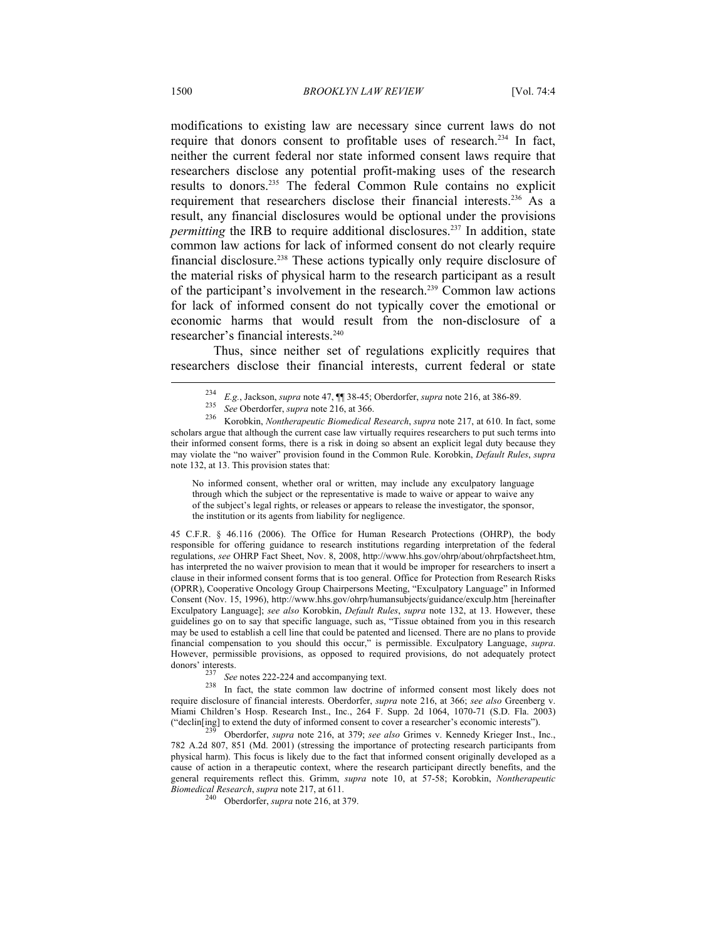modifications to existing law are necessary since current laws do not require that donors consent to profitable uses of research.<sup>234</sup> In fact, neither the current federal nor state informed consent laws require that researchers disclose any potential profit-making uses of the research results to donors.235 The federal Common Rule contains no explicit requirement that researchers disclose their financial interests.<sup>236</sup> As a result, any financial disclosures would be optional under the provisions *permitting* the IRB to require additional disclosures.<sup>237</sup> In addition, state common law actions for lack of informed consent do not clearly require financial disclosure.238 These actions typically only require disclosure of the material risks of physical harm to the research participant as a result of the participant's involvement in the research.239 Common law actions for lack of informed consent do not typically cover the emotional or economic harms that would result from the non-disclosure of a researcher's financial interests.240

Thus, since neither set of regulations explicitly requires that researchers disclose their financial interests, current federal or state  $\overline{\phantom{a}}$ 

No informed consent, whether oral or written, may include any exculpatory language through which the subject or the representative is made to waive or appear to waive any of the subject's legal rights, or releases or appears to release the investigator, the sponsor, the institution or its agents from liability for negligence.

45 C.F.R. § 46.116 (2006). The Office for Human Research Protections (OHRP), the body responsible for offering guidance to research institutions regarding interpretation of the federal regulations, *see* OHRP Fact Sheet, Nov. 8, 2008, http://www.hhs.gov/ohrp/about/ohrpfactsheet.htm, has interpreted the no waiver provision to mean that it would be improper for researchers to insert a clause in their informed consent forms that is too general. Office for Protection from Research Risks (OPRR), Cooperative Oncology Group Chairpersons Meeting, "Exculpatory Language" in Informed Consent (Nov. 15, 1996), http://www.hhs.gov/ohrp/humansubjects/guidance/exculp.htm [hereinafter Exculpatory Language]; *see also* Korobkin, *Default Rules*, *supra* note 132, at 13. However, these guidelines go on to say that specific language, such as, "Tissue obtained from you in this research may be used to establish a cell line that could be patented and licensed. There are no plans to provide financial compensation to you should this occur," is permissible. Exculpatory Language, *supra*. However, permissible provisions, as opposed to required provisions, do not adequately protect

donors' interests.<br><sup>237</sup> *See* notes 222-224 and accompanying text.<br><sup>238</sup> In fact, the state common law doctrine of informed consent most likely does not require disclosure of financial interests. Oberdorfer, *supra* note 216, at 366; *see also* Greenberg v. Miami Children's Hosp. Research Inst., Inc., 264 F. Supp. 2d 1064, 1070-71 (S.D. Fla. 2003) ("declin[ing] to extend the duty of informed consent to cover a researcher's economic interests"). 239 Oberdorfer, *supra* note 216, at 379; *see also* Grimes v. Kennedy Krieger Inst., Inc.,

782 A.2d 807, 851 (Md. 2001) (stressing the importance of protecting research participants from physical harm). This focus is likely due to the fact that informed consent originally developed as a cause of action in a therapeutic context, where the research participant directly benefits, and the general requirements reflect this. Grimm, *supra* note 10, at 57-58; Korobkin, *Nontherapeutic* 

<sup>240</sup> Oberdorfer, *supra* note 216, at 379.

<sup>&</sup>lt;sup>234</sup> *E.g.*, Jackson, *supra* note 47,  $\P$  38-45; Oberdorfer, *supra* note 216, at 386-89.<br><sup>235</sup> *See* Oberdorfer, *supra* note 216, at 366.<br><sup>236</sup> Korobkin, *Nontherapeutic Biomedical Research*, *supra* note 217, at 610. scholars argue that although the current case law virtually requires researchers to put such terms into their informed consent forms, there is a risk in doing so absent an explicit legal duty because they may violate the "no waiver" provision found in the Common Rule. Korobkin, *Default Rules*, *supra* note 132, at 13. This provision states that: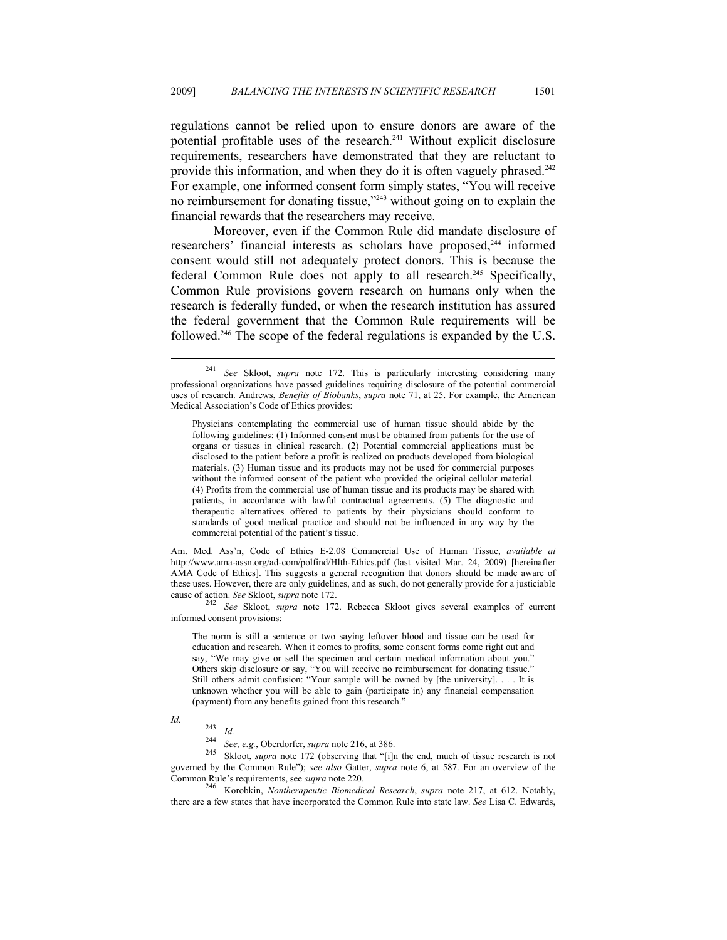regulations cannot be relied upon to ensure donors are aware of the potential profitable uses of the research. $241$  Without explicit disclosure requirements, researchers have demonstrated that they are reluctant to provide this information, and when they do it is often vaguely phrased.<sup>242</sup> For example, one informed consent form simply states, "You will receive no reimbursement for donating tissue,"243 without going on to explain the financial rewards that the researchers may receive.

Moreover, even if the Common Rule did mandate disclosure of researchers' financial interests as scholars have proposed,<sup>244</sup> informed consent would still not adequately protect donors. This is because the federal Common Rule does not apply to all research.<sup>245</sup> Specifically, Common Rule provisions govern research on humans only when the research is federally funded, or when the research institution has assured the federal government that the Common Rule requirements will be followed.246 The scope of the federal regulations is expanded by the U.S.

Am. Med. Ass'n, Code of Ethics E-2.08 Commercial Use of Human Tissue, *available at*  http://www.ama-assn.org/ad-com/polfind/Hlth-Ethics.pdf (last visited Mar. 24, 2009) [hereinafter AMA Code of Ethics]. This suggests a general recognition that donors should be made aware of these uses. However, there are only guidelines, and as such, do not generally provide for a justiciable cause of action. *See* Skloot, *supra* note 172.<br><sup>242</sup> See Skloot, *supra* note 172. Rebecca Skloot gives several examples of current

informed consent provisions:

The norm is still a sentence or two saying leftover blood and tissue can be used for education and research. When it comes to profits, some consent forms come right out and say, "We may give or sell the specimen and certain medical information about you." Others skip disclosure or say, "You will receive no reimbursement for donating tissue." Still others admit confusion: "Your sample will be owned by [the university]. . . . It is unknown whether you will be able to gain (participate in) any financial compensation (payment) from any benefits gained from this research."

 $\overline{a}$ 

*Id.* 243 *Id.* <sup>244</sup> *See, e.g.*, Oberdorfer, *supra* note 216, at 386. 245 Skloot, *supra* note 172 (observing that "[i]n the end, much of tissue research is not governed by the Common Rule"); *see also* Gatter, *supra* note 6, at 587. For an overview of the Common Rule's requirements, see *supra* note 220. 246 Korobkin, *Nontherapeutic Biomedical Research*, *supra* note 217, at 612. Notably,

there are a few states that have incorporated the Common Rule into state law. *See* Lisa C. Edwards,

<sup>241</sup> *See* Skloot, *supra* note 172. This is particularly interesting considering many professional organizations have passed guidelines requiring disclosure of the potential commercial uses of research. Andrews, *Benefits of Biobanks*, *supra* note 71, at 25. For example, the American Medical Association's Code of Ethics provides:

Physicians contemplating the commercial use of human tissue should abide by the following guidelines: (1) Informed consent must be obtained from patients for the use of organs or tissues in clinical research. (2) Potential commercial applications must be disclosed to the patient before a profit is realized on products developed from biological materials. (3) Human tissue and its products may not be used for commercial purposes without the informed consent of the patient who provided the original cellular material. (4) Profits from the commercial use of human tissue and its products may be shared with patients, in accordance with lawful contractual agreements. (5) The diagnostic and therapeutic alternatives offered to patients by their physicians should conform to standards of good medical practice and should not be influenced in any way by the commercial potential of the patient's tissue.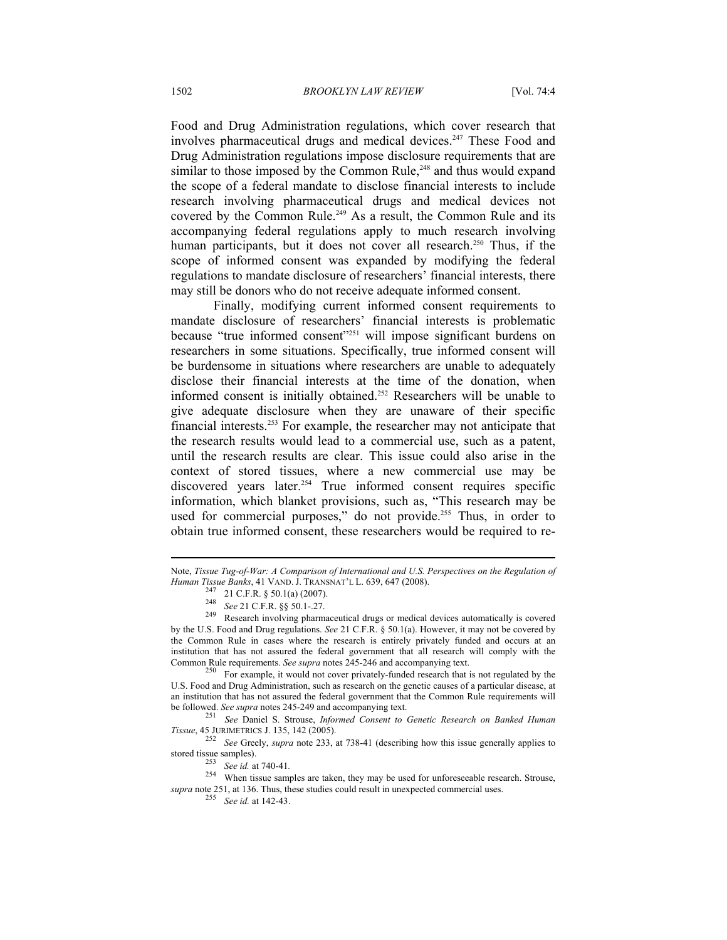Food and Drug Administration regulations, which cover research that involves pharmaceutical drugs and medical devices.<sup>247</sup> These Food and Drug Administration regulations impose disclosure requirements that are similar to those imposed by the Common Rule,<sup>248</sup> and thus would expand the scope of a federal mandate to disclose financial interests to include research involving pharmaceutical drugs and medical devices not covered by the Common Rule.<sup>249</sup> As a result, the Common Rule and its accompanying federal regulations apply to much research involving human participants, but it does not cover all research.<sup>250</sup> Thus, if the scope of informed consent was expanded by modifying the federal regulations to mandate disclosure of researchers' financial interests, there may still be donors who do not receive adequate informed consent.

Finally, modifying current informed consent requirements to mandate disclosure of researchers' financial interests is problematic because "true informed consent"<sup>251</sup> will impose significant burdens on researchers in some situations. Specifically, true informed consent will be burdensome in situations where researchers are unable to adequately disclose their financial interests at the time of the donation, when informed consent is initially obtained.<sup>252</sup> Researchers will be unable to give adequate disclosure when they are unaware of their specific financial interests.253 For example, the researcher may not anticipate that the research results would lead to a commercial use, such as a patent, until the research results are clear. This issue could also arise in the context of stored tissues, where a new commercial use may be discovered years later.<sup>254</sup> True informed consent requires specific information, which blanket provisions, such as, "This research may be used for commercial purposes," do not provide.<sup>255</sup> Thus, in order to obtain true informed consent, these researchers would be required to re-

U.S. Food and Drug Administration, such as research on the genetic causes of a particular disease, at an institution that has not assured the federal government that the Common Rule requirements will

be followed. *See supra* notes 245-249 and accompanying text. 251 *See* Daniel S. Strouse, *Informed Consent to Genetic Research on Banked Human* 

*Tissue*, 45 JURIMETRICS J. 135, 142 (2005). 252 *See* Greely, *supra* note 233, at 738-41 (describing how this issue generally applies to

Note, *Tissue Tug-of-War: A Comparison of International and U.S. Perspectives on the Regulation of Human Tissue Banks*, 41 VAND. J. TRANSNAT'L L. 639, 647 (2008).

<sup>&</sup>lt;sup>247</sup> 21 C.F.R. § 50.1(a) (2007).<br><sup>248</sup> *See* 21 C.F.R. §§ 50.1-.27.<br><sup>249</sup> Research involving pharmaceutical drugs or medical devices automatically is covered by the U.S. Food and Drug regulations. *See* 21 C.F.R. § 50.1(a). However, it may not be covered by the Common Rule in cases where the research is entirely privately funded and occurs at an institution that has not assured the federal government that all research will comply with the Common Rule requirements. *See supra* notes 245-246 and accompanying text.<br><sup>250</sup> For example, it would not cover privately-funded research that is not regulated by the

stored tissue samples).<br><sup>253</sup> See id. at 740-41.<br><sup>254</sup> When tissue samples are taken, they may be used for unforeseeable research. Strouse, *supra* note 251, at 136. Thus, these studies could result in unexpected commercial uses. 255 *See id.* at 142-43.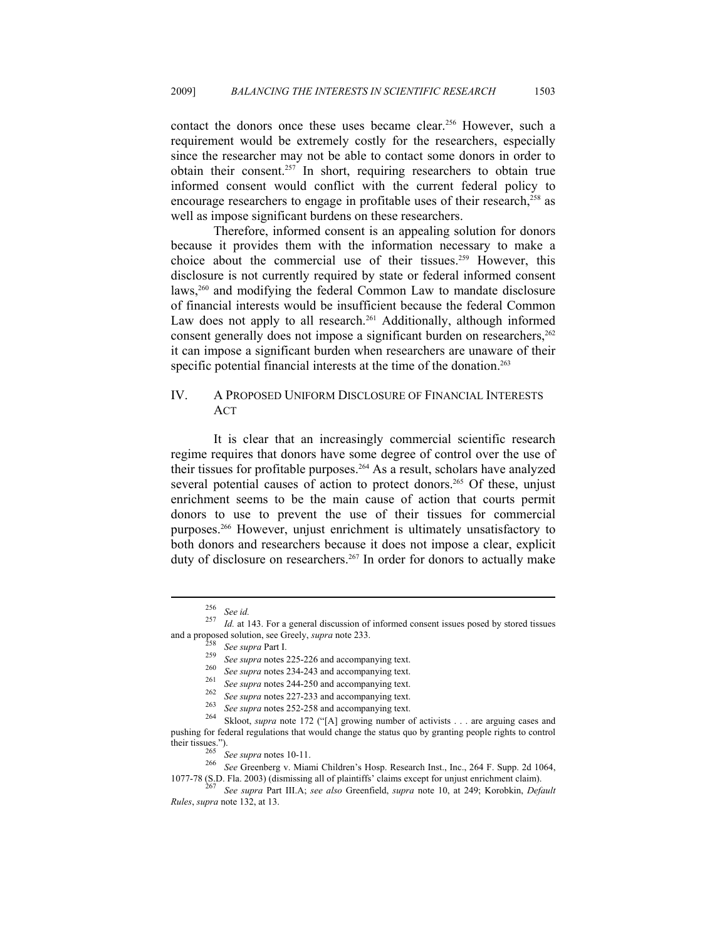contact the donors once these uses became clear.<sup>256</sup> However, such a requirement would be extremely costly for the researchers, especially since the researcher may not be able to contact some donors in order to obtain their consent.257 In short, requiring researchers to obtain true informed consent would conflict with the current federal policy to encourage researchers to engage in profitable uses of their research,<sup>258</sup> as well as impose significant burdens on these researchers.

Therefore, informed consent is an appealing solution for donors because it provides them with the information necessary to make a choice about the commercial use of their tissues.<sup>259</sup> However, this disclosure is not currently required by state or federal informed consent laws,<sup>260</sup> and modifying the federal Common Law to mandate disclosure of financial interests would be insufficient because the federal Common Law does not apply to all research.<sup>261</sup> Additionally, although informed consent generally does not impose a significant burden on researchers,  $262$ it can impose a significant burden when researchers are unaware of their specific potential financial interests at the time of the donation.<sup>263</sup>

### IV. A PROPOSED UNIFORM DISCLOSURE OF FINANCIAL INTERESTS ACT

It is clear that an increasingly commercial scientific research regime requires that donors have some degree of control over the use of their tissues for profitable purposes.264 As a result, scholars have analyzed several potential causes of action to protect donors.<sup>265</sup> Of these, unjust enrichment seems to be the main cause of action that courts permit donors to use to prevent the use of their tissues for commercial purposes.266 However, unjust enrichment is ultimately unsatisfactory to both donors and researchers because it does not impose a clear, explicit duty of disclosure on researchers.<sup>267</sup> In order for donors to actually make

<sup>256</sup> *See id.* <sup>257</sup> *Id.* at 143. For a general discussion of informed consent issues posed by stored tissues

and a proposed solution, see Greely, *supra* note 233.<br>
<sup>258</sup> *See supra* Part I.<br>
<sup>259</sup> *See supra* notes 225-226 and accompanying text.<br>
<sup>260</sup> *See supra* notes 234-243 and accompanying text.<br>
<sup>261</sup> *See supra* notes 24 pushing for federal regulations that would change the status quo by granting people rights to control their tissues.").

<sup>&</sup>lt;sup>265</sup> See supra notes 10-11.<br><sup>266</sup> See Greenberg v. Miami Children's Hosp. Research Inst., Inc., 264 F. Supp. 2d 1064,<br>1077-78 (S.D. Fla. 2003) (dismissing all of plaintiffs' claims except for unjust enrichment claim).

<sup>1077-78 (</sup>S.D. Fla. 2003) (dismissing all of plaintiffs' claims except for unjust enrichment claim). 267 *See supra* Part III.A; *see also* Greenfield, *supra* note 10, at 249; Korobkin, *Default Rules*, *supra* note 132, at 13.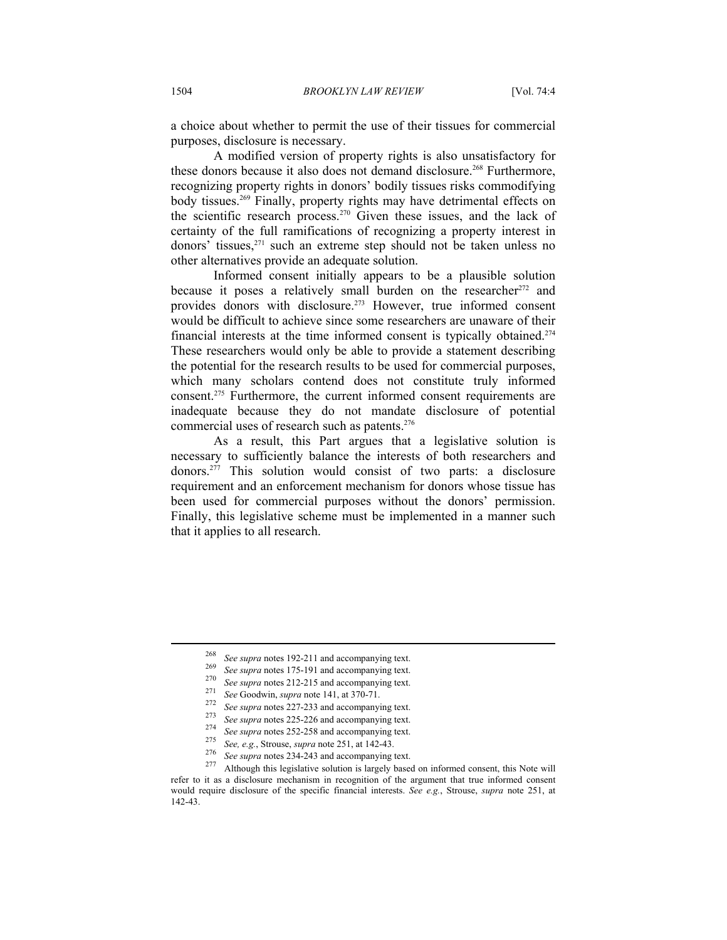a choice about whether to permit the use of their tissues for commercial purposes, disclosure is necessary.

A modified version of property rights is also unsatisfactory for these donors because it also does not demand disclosure.<sup>268</sup> Furthermore, recognizing property rights in donors' bodily tissues risks commodifying body tissues.<sup>269</sup> Finally, property rights may have detrimental effects on the scientific research process.270 Given these issues, and the lack of certainty of the full ramifications of recognizing a property interest in donors' tissues,<sup>271</sup> such an extreme step should not be taken unless no other alternatives provide an adequate solution.

Informed consent initially appears to be a plausible solution because it poses a relatively small burden on the researcher<sup>272</sup> and provides donors with disclosure.273 However, true informed consent would be difficult to achieve since some researchers are unaware of their financial interests at the time informed consent is typically obtained.274 These researchers would only be able to provide a statement describing the potential for the research results to be used for commercial purposes, which many scholars contend does not constitute truly informed consent.275 Furthermore, the current informed consent requirements are inadequate because they do not mandate disclosure of potential commercial uses of research such as patents.276

As a result, this Part argues that a legislative solution is necessary to sufficiently balance the interests of both researchers and donors.277 This solution would consist of two parts: a disclosure requirement and an enforcement mechanism for donors whose tissue has been used for commercial purposes without the donors' permission. Finally, this legislative scheme must be implemented in a manner such that it applies to all research.

<sup>&</sup>lt;sup>268</sup> See supra notes 192-211 and accompanying text.<br>
<sup>269</sup> See supra notes 175-191 and accompanying text.<br>
<sup>270</sup> See supra notes 212-215 and accompanying text.<br>
<sup>271</sup> See Goodwin, *supra* note 141, at 370-71.<br>
<sup>272</sup> See refer to it as a disclosure mechanism in recognition of the argument that true informed consent would require disclosure of the specific financial interests. *See e.g.*, Strouse, *supra* note 251, at 142-43.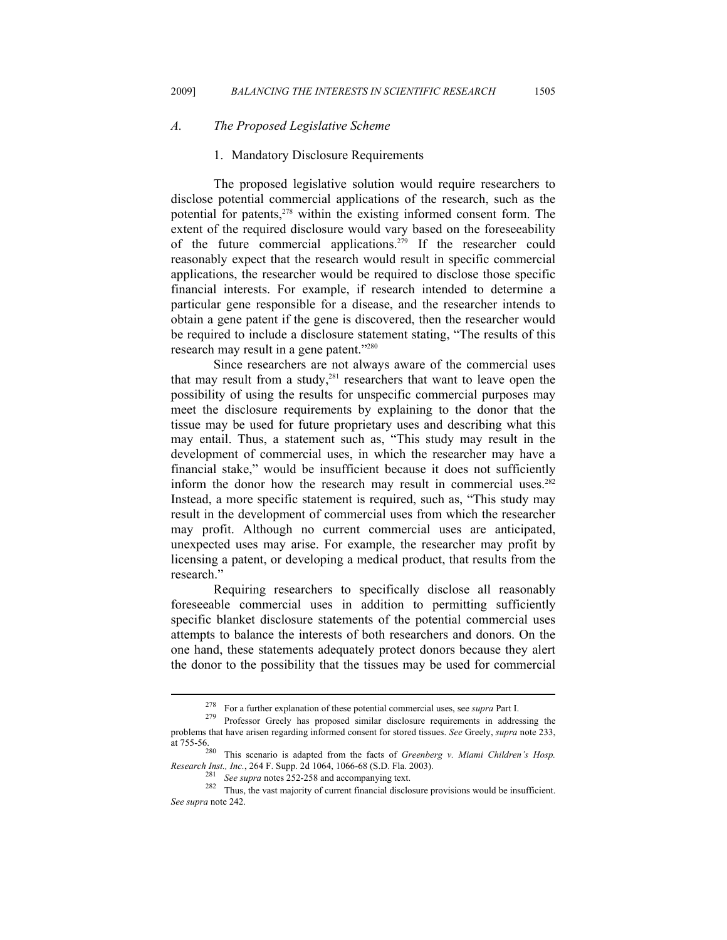#### *A. The Proposed Legislative Scheme*

#### 1. Mandatory Disclosure Requirements

The proposed legislative solution would require researchers to disclose potential commercial applications of the research, such as the potential for patents,<sup>278</sup> within the existing informed consent form. The extent of the required disclosure would vary based on the foreseeability of the future commercial applications.279 If the researcher could reasonably expect that the research would result in specific commercial applications, the researcher would be required to disclose those specific financial interests. For example, if research intended to determine a particular gene responsible for a disease, and the researcher intends to obtain a gene patent if the gene is discovered, then the researcher would be required to include a disclosure statement stating, "The results of this research may result in a gene patent."280

Since researchers are not always aware of the commercial uses that may result from a study, $281$  researchers that want to leave open the possibility of using the results for unspecific commercial purposes may meet the disclosure requirements by explaining to the donor that the tissue may be used for future proprietary uses and describing what this may entail. Thus, a statement such as, "This study may result in the development of commercial uses, in which the researcher may have a financial stake," would be insufficient because it does not sufficiently inform the donor how the research may result in commercial uses.<sup>282</sup> Instead, a more specific statement is required, such as, "This study may result in the development of commercial uses from which the researcher may profit. Although no current commercial uses are anticipated, unexpected uses may arise. For example, the researcher may profit by licensing a patent, or developing a medical product, that results from the research."

Requiring researchers to specifically disclose all reasonably foreseeable commercial uses in addition to permitting sufficiently specific blanket disclosure statements of the potential commercial uses attempts to balance the interests of both researchers and donors. On the one hand, these statements adequately protect donors because they alert the donor to the possibility that the tissues may be used for commercial

<sup>278</sup> For a further explanation of these potential commercial uses, see *supra* Part I. 279 Professor Greely has proposed similar disclosure requirements in addressing the

problems that have arisen regarding informed consent for stored tissues. *See* Greely, *supra* note 233, at 755-56.

This scenario is adapted from the facts of *Greenberg v. Miami Children's Hosp.* 

Research Inst., Inc., 264 F. Supp. 2d 1064, 1066-68 (S.D. Fla. 2003).<br><sup>281</sup> See supra notes 252-258 and accompanying text.<br><sup>282</sup> Thus, the vast majority of current financial disclosure provisions would be insufficient. *See supra* note 242.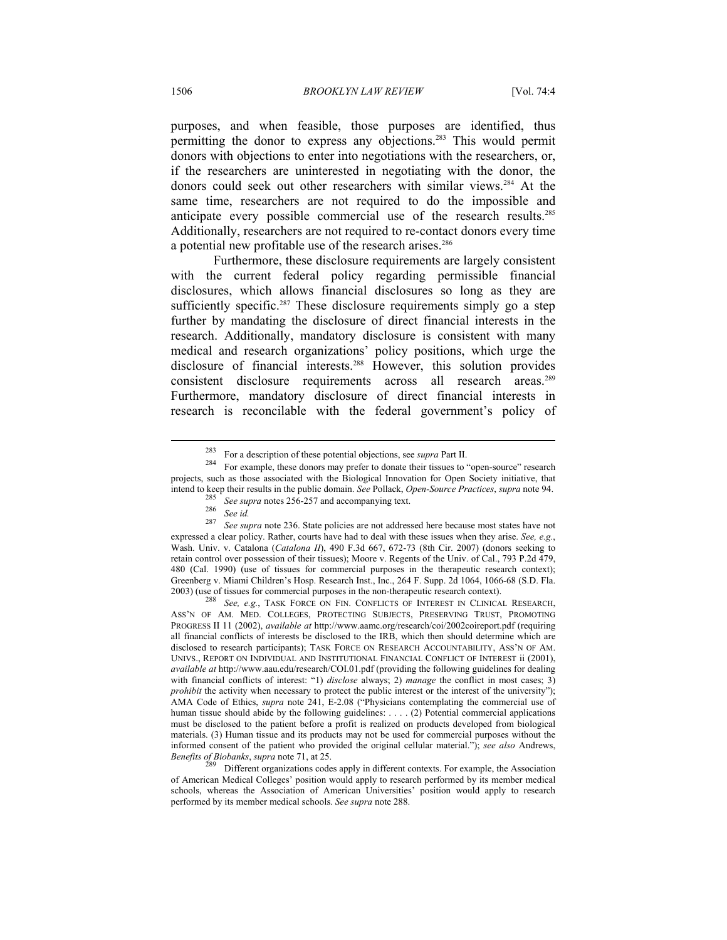purposes, and when feasible, those purposes are identified, thus permitting the donor to express any objections.283 This would permit donors with objections to enter into negotiations with the researchers, or, if the researchers are uninterested in negotiating with the donor, the donors could seek out other researchers with similar views.<sup>284</sup> At the same time, researchers are not required to do the impossible and anticipate every possible commercial use of the research results.285 Additionally, researchers are not required to re-contact donors every time a potential new profitable use of the research arises.<sup>286</sup>

Furthermore, these disclosure requirements are largely consistent with the current federal policy regarding permissible financial disclosures, which allows financial disclosures so long as they are sufficiently specific.<sup>287</sup> These disclosure requirements simply go a step further by mandating the disclosure of direct financial interests in the research. Additionally, mandatory disclosure is consistent with many medical and research organizations' policy positions, which urge the disclosure of financial interests.<sup>288</sup> However, this solution provides consistent disclosure requirements across all research areas.289 Furthermore, mandatory disclosure of direct financial interests in research is reconcilable with the federal government's policy of

<sup>283</sup> For a description of these potential objections, see *supra* Part II. 284 For example, these donors may prefer to donate their tissues to "open-source" research projects, such as those associated with the Biological Innovation for Open Society initiative, that intend to keep their results in the public domain. See Pollack, Open-Source Practices, supra note 94.<br><sup>285</sup> See supra notes 256-257 and accompanying text.<br><sup>286</sup> See id.<br><sup>287</sup> See supra note 236. State policies are not addr

expressed a clear policy. Rather, courts have had to deal with these issues when they arise. *See, e.g.*, Wash. Univ. v. Catalona (*Catalona II*), 490 F.3d 667, 672-73 (8th Cir. 2007) (donors seeking to retain control over possession of their tissues); Moore v. Regents of the Univ. of Cal., 793 P.2d 479, 480 (Cal. 1990) (use of tissues for commercial purposes in the therapeutic research context); Greenberg v. Miami Children's Hosp. Research Inst., Inc., 264 F. Supp. 2d 1064, 1066-68 (S.D. Fla. 2003) (use of tissues for commercial purposes in the non-therapeutic research context). 288 *See, e.g.*, TASK FORCE ON FIN. CONFLICTS OF INTEREST IN CLINICAL RESEARCH,

ASS'N OF AM. MED. COLLEGES, PROTECTING SUBJECTS, PRESERVING TRUST, PROMOTING PROGRESS II 11 (2002), *available at* http://www.aamc.org/research/coi/2002coireport.pdf (requiring all financial conflicts of interests be disclosed to the IRB, which then should determine which are disclosed to research participants); TASK FORCE ON RESEARCH ACCOUNTABILITY, ASS'N OF AM. UNIVS., REPORT ON INDIVIDUAL AND INSTITUTIONAL FINANCIAL CONFLICT OF INTEREST ii (2001), *available at* http://www.aau.edu/research/COI.01.pdf (providing the following guidelines for dealing with financial conflicts of interest: "1) *disclose* always; 2) *manage* the conflict in most cases; 3) *prohibit* the activity when necessary to protect the public interest or the interest of the university"); AMA Code of Ethics, *supra* note 241, E-2.08 ("Physicians contemplating the commercial use of human tissue should abide by the following guidelines: . . . . (2) Potential commercial applications must be disclosed to the patient before a profit is realized on products developed from biological materials. (3) Human tissue and its products may not be used for commercial purposes without the informed consent of the patient who provided the original cellular material."); *see also* Andrews, *Benefits of Biobanks*, *supra* note 71, at 25. 289 Different organizations codes apply in different contexts. For example, the Association

of American Medical Colleges' position would apply to research performed by its member medical schools, whereas the Association of American Universities' position would apply to research performed by its member medical schools. *See supra* note 288.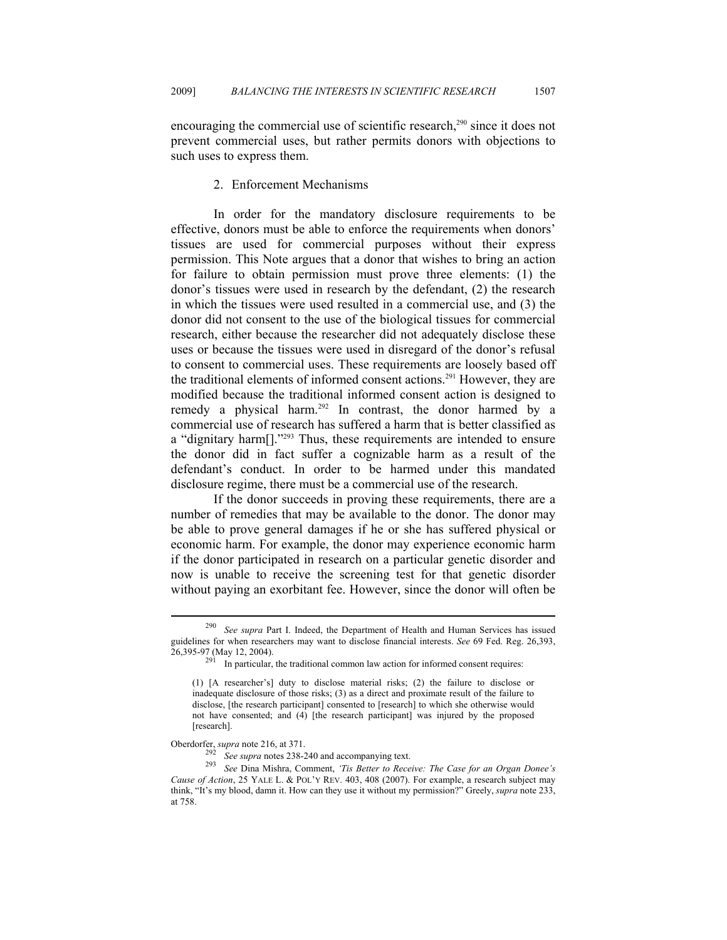encouraging the commercial use of scientific research,<sup>290</sup> since it does not prevent commercial uses, but rather permits donors with objections to such uses to express them.

#### 2. Enforcement Mechanisms

In order for the mandatory disclosure requirements to be effective, donors must be able to enforce the requirements when donors' tissues are used for commercial purposes without their express permission. This Note argues that a donor that wishes to bring an action for failure to obtain permission must prove three elements: (1) the donor's tissues were used in research by the defendant, (2) the research in which the tissues were used resulted in a commercial use, and (3) the donor did not consent to the use of the biological tissues for commercial research, either because the researcher did not adequately disclose these uses or because the tissues were used in disregard of the donor's refusal to consent to commercial uses. These requirements are loosely based off the traditional elements of informed consent actions.291 However, they are modified because the traditional informed consent action is designed to remedy a physical harm.292 In contrast, the donor harmed by a commercial use of research has suffered a harm that is better classified as a "dignitary harm[]."293 Thus, these requirements are intended to ensure the donor did in fact suffer a cognizable harm as a result of the defendant's conduct. In order to be harmed under this mandated disclosure regime, there must be a commercial use of the research.

If the donor succeeds in proving these requirements, there are a number of remedies that may be available to the donor. The donor may be able to prove general damages if he or she has suffered physical or economic harm. For example, the donor may experience economic harm if the donor participated in research on a particular genetic disorder and now is unable to receive the screening test for that genetic disorder without paying an exorbitant fee. However, since the donor will often be

<sup>290</sup> *See supra* Part I. Indeed, the Department of Health and Human Services has issued guidelines for when researchers may want to disclose financial interests. *See* 69 Fed. Reg. 26,393,

 $291$  In particular, the traditional common law action for informed consent requires:

<sup>(1) [</sup>A researcher's] duty to disclose material risks; (2) the failure to disclose or inadequate disclosure of those risks; (3) as a direct and proximate result of the failure to disclose, [the research participant] consented to [research] to which she otherwise would not have consented; and (4) [the research participant] was injured by the proposed [research].

Oberdorfer, *supra* note 216, at 371. 292 *See supra* notes 238-240 and accompanying text. 293 *See* Dina Mishra, Comment, *'Tis Better to Receive: The Case for an Organ Donee's Cause of Action*, 25 YALE L. & POL'Y REV. 403, 408 (2007). For example, a research subject may think, "It's my blood, damn it. How can they use it without my permission?" Greely, *supra* note 233, at 758.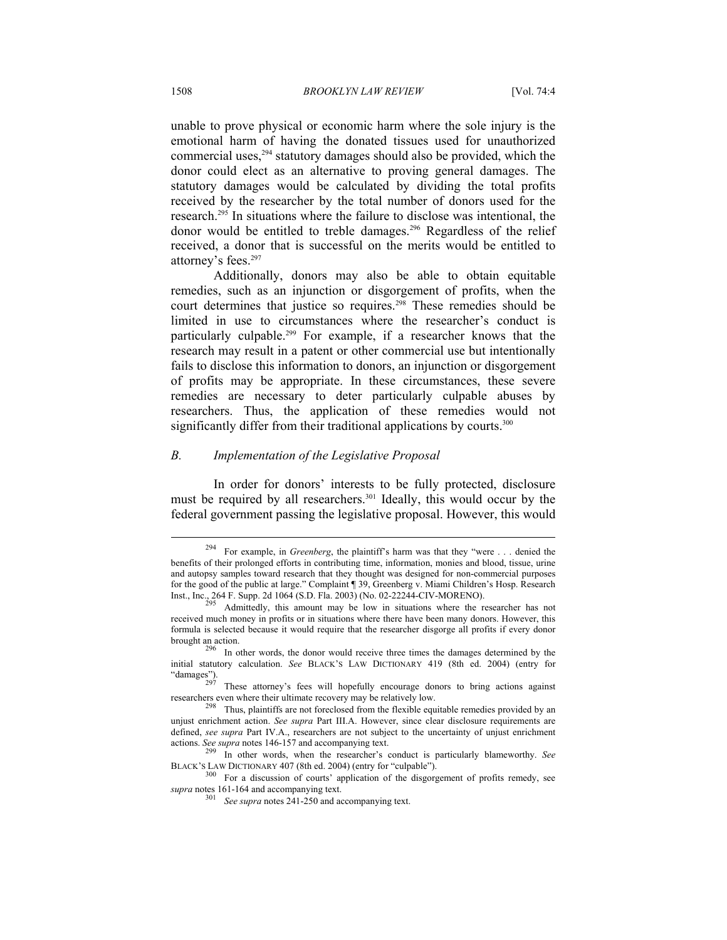unable to prove physical or economic harm where the sole injury is the emotional harm of having the donated tissues used for unauthorized commercial uses,294 statutory damages should also be provided, which the donor could elect as an alternative to proving general damages. The statutory damages would be calculated by dividing the total profits received by the researcher by the total number of donors used for the research.295 In situations where the failure to disclose was intentional, the donor would be entitled to treble damages.<sup>296</sup> Regardless of the relief received, a donor that is successful on the merits would be entitled to attorney's fees.<sup>297</sup>

Additionally, donors may also be able to obtain equitable remedies, such as an injunction or disgorgement of profits, when the court determines that justice so requires.<sup>298</sup> These remedies should be limited in use to circumstances where the researcher's conduct is particularly culpable.<sup>299</sup> For example, if a researcher knows that the research may result in a patent or other commercial use but intentionally fails to disclose this information to donors, an injunction or disgorgement of profits may be appropriate. In these circumstances, these severe remedies are necessary to deter particularly culpable abuses by researchers. Thus, the application of these remedies would not significantly differ from their traditional applications by courts.<sup>300</sup>

#### *B. Implementation of the Legislative Proposal*

In order for donors' interests to be fully protected, disclosure must be required by all researchers.<sup>301</sup> Ideally, this would occur by the federal government passing the legislative proposal. However, this would

<sup>294</sup> For example, in *Greenberg*, the plaintiff's harm was that they "were . . . denied the benefits of their prolonged efforts in contributing time, information, monies and blood, tissue, urine and autopsy samples toward research that they thought was designed for non-commercial purposes for the good of the public at large." Complaint ¶ 39, Greenberg v. Miami Children's Hosp. Research Inst., Inc., 264 F. Supp. 2d 1064 (S.D. Fla. 2003) (No. 02-22244-CIV-MORENO).<br>Admittedly, this amount may be low in situations where the researcher has not

received much money in profits or in situations where there have been many donors. However, this formula is selected because it would require that the researcher disgorge all profits if every donor brought an action. 296 In other words, the donor would receive three times the damages determined by the

initial statutory calculation. *See* BLACK's LAW DICTIONARY 419 (8th ed. 2004) (entry for "damages").

These attorney's fees will hopefully encourage donors to bring actions against researchers even where their ultimate recovery may be relatively low.<br><sup>298</sup> Thus, plaintiffs are not foreclosed from the flexible equitable remedies provided by an

unjust enrichment action. *See supra* Part III.A. However, since clear disclosure requirements are defined, *see supra* Part IV.A., researchers are not subject to the uncertainty of unjust enrichment actions. *See supra* notes 146-157 and accompanying text.

<sup>&</sup>lt;sup>299</sup> In other words, when the researcher's conduct is particularly blameworthy. *See* BLACK'S LAW DICTIONARY 407 (8th ed. 2004) (entry for "culpable").

 $^{0}$  For a discussion of courts' application of the disgorgement of profits remedy, see *supra* notes 161-164 and accompanying text. 301 *See supra* notes 241-250 and accompanying text.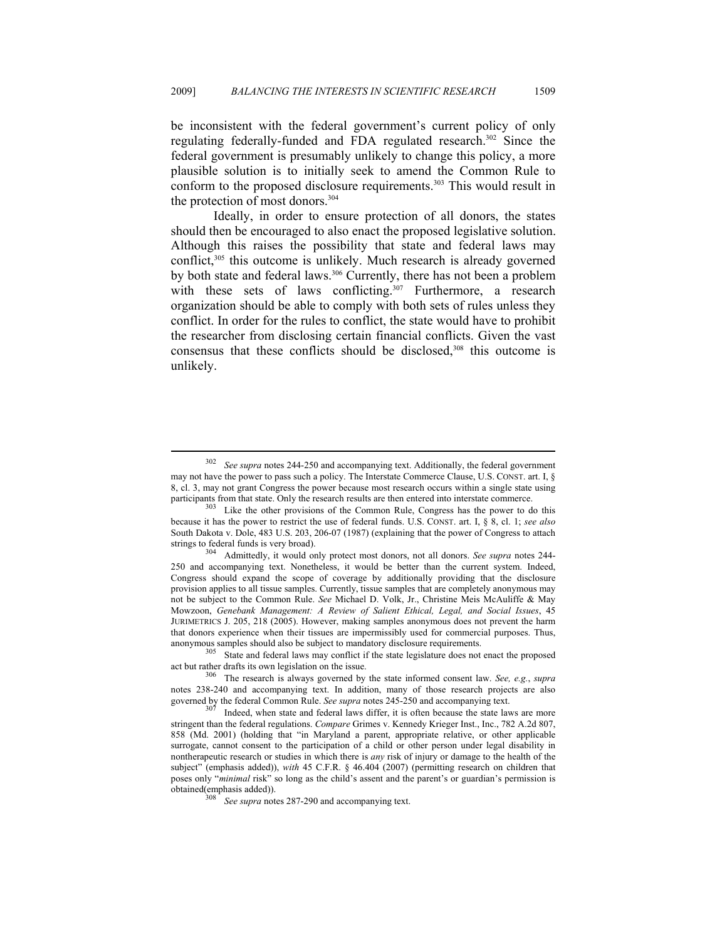be inconsistent with the federal government's current policy of only regulating federally-funded and FDA regulated research.302 Since the federal government is presumably unlikely to change this policy, a more plausible solution is to initially seek to amend the Common Rule to conform to the proposed disclosure requirements.<sup>303</sup> This would result in the protection of most donors.<sup>304</sup>

Ideally, in order to ensure protection of all donors, the states should then be encouraged to also enact the proposed legislative solution. Although this raises the possibility that state and federal laws may conflict,<sup>305</sup> this outcome is unlikely. Much research is already governed by both state and federal laws.<sup>306</sup> Currently, there has not been a problem with these sets of laws conflicting. $307$  Furthermore, a research organization should be able to comply with both sets of rules unless they conflict. In order for the rules to conflict, the state would have to prohibit the researcher from disclosing certain financial conflicts. Given the vast consensus that these conflicts should be disclosed,<sup>308</sup> this outcome is unlikely.

<sup>302</sup> *See supra* notes 244-250 and accompanying text. Additionally, the federal government may not have the power to pass such a policy. The Interstate Commerce Clause, U.S. CONST. art. I, § 8, cl. 3, may not grant Congress the power because most research occurs within a single state using

participants from that state. Only the research results are then entered into interstate commerce.<br><sup>303</sup> Like the other provisions of the Common Rule, Congress has the power to do this because it has the power to restrict the use of federal funds. U.S. CONST. art. I, § 8, cl. 1; *see also*  South Dakota v. Dole, 483 U.S. 203, 206-07 (1987) (explaining that the power of Congress to attach

strings to federal funds is very broad). 304 Admittedly, it would only protect most donors, not all donors. *See supra* notes 244- 250 and accompanying text. Nonetheless, it would be better than the current system. Indeed, Congress should expand the scope of coverage by additionally providing that the disclosure provision applies to all tissue samples. Currently, tissue samples that are completely anonymous may not be subject to the Common Rule. *See* Michael D. Volk, Jr., Christine Meis McAuliffe & May Mowzoon, *Genebank Management: A Review of Salient Ethical, Legal, and Social Issues*, 45 JURIMETRICS J. 205, 218 (2005). However, making samples anonymous does not prevent the harm that donors experience when their tissues are impermissibly used for commercial purposes. Thus, anonymous samples should also be subject to mandatory disclosure requirements.

 $305$  State and federal laws may conflict if the state legislature does not enact the proposed act but rather drafts its own legislation on the issue. 306 The research is always governed by the state informed consent law. *See, e.g.*, *supra*

notes 238-240 and accompanying text. In addition, many of those research projects are also governed by the federal Common Rule. *See supra* notes 245-250 and accompanying text.<br><sup>307</sup> Indeed, when state and federal laws differ, it is often because the state laws are more

stringent than the federal regulations. *Compare* Grimes v. Kennedy Krieger Inst., Inc., 782 A.2d 807, 858 (Md. 2001) (holding that "in Maryland a parent, appropriate relative, or other applicable surrogate, cannot consent to the participation of a child or other person under legal disability in nontherapeutic research or studies in which there is *any* risk of injury or damage to the health of the subject" (emphasis added)), *with* 45 C.F.R. § 46.404 (2007) (permitting research on children that poses only "*minimal* risk" so long as the child's assent and the parent's or guardian's permission is

See supra notes 287-290 and accompanying text.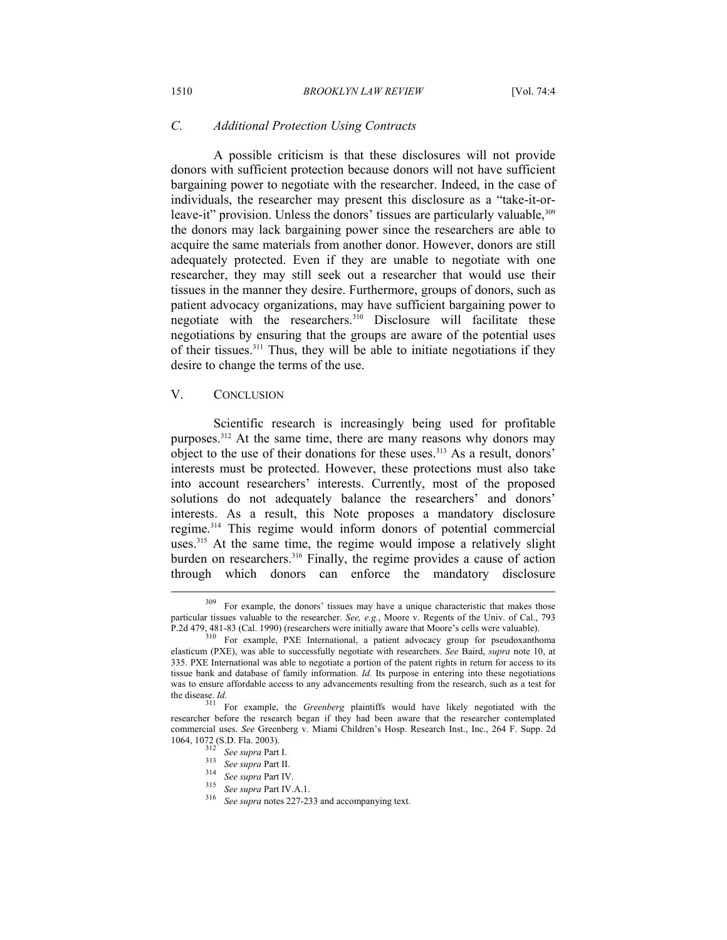#### *C. Additional Protection Using Contracts*

A possible criticism is that these disclosures will not provide donors with sufficient protection because donors will not have sufficient bargaining power to negotiate with the researcher. Indeed, in the case of individuals, the researcher may present this disclosure as a "take-it-orleave-it" provision. Unless the donors' tissues are particularly valuable,  $309$ the donors may lack bargaining power since the researchers are able to acquire the same materials from another donor. However, donors are still adequately protected. Even if they are unable to negotiate with one researcher, they may still seek out a researcher that would use their tissues in the manner they desire. Furthermore, groups of donors, such as patient advocacy organizations, may have sufficient bargaining power to negotiate with the researchers.<sup>310</sup> Disclosure will facilitate these negotiations by ensuring that the groups are aware of the potential uses of their tissues.311 Thus, they will be able to initiate negotiations if they desire to change the terms of the use.

#### V. CONCLUSION

 $\overline{a}$ 

Scientific research is increasingly being used for profitable purposes.<sup>312</sup> At the same time, there are many reasons why donors may object to the use of their donations for these uses.<sup>313</sup> As a result, donors' interests must be protected. However, these protections must also take into account researchers' interests. Currently, most of the proposed solutions do not adequately balance the researchers' and donors' interests. As a result, this Note proposes a mandatory disclosure regime.314 This regime would inform donors of potential commercial uses.<sup>315</sup> At the same time, the regime would impose a relatively slight burden on researchers.<sup>316</sup> Finally, the regime provides a cause of action through which donors can enforce the mandatory disclosure

<sup>&</sup>lt;sup>309</sup> For example, the donors' tissues may have a unique characteristic that makes those particular tissues valuable to the researcher. *See, e.g.*, Moore v. Regents of the Univ. of Cal., 793 P.2d 479, 481-83 (Cal. 1990) (researchers were initially aware that Moore's cells were valuable).

Por  $\frac{90}{20}$  For example, PXE International, a patient advocacy group for pseudoxanthoma elasticum (PXE), was able to successfully negotiate with researchers. *See* Baird, *supra* note 10, at 335. PXE International was able to negotiate a portion of the patent rights in return for access to its tissue bank and database of family information. *Id.* Its purpose in entering into these negotiations was to ensure affordable access to any advancements resulting from the research, such as a test for

the disease. *Id.* 311 For example, the *Greenberg* plaintiffs would have likely negotiated with the researcher before the research began if they had been aware that the researcher contemplated commercial uses. *See* Greenberg v. Miami Children's Hosp. Research Inst., Inc., 264 F. Supp. 2d 1064, 1072 (S.D. Fla. 2003).<br>
<sup>312</sup> *See supra* Part I.<br>
<sup>313</sup> *See supra* Part IV.<br>
<sup>315</sup> *See supra* Part IV.A.1.<br>
<sup>316</sup> *See supra* notes 227-233 and accompanying text.